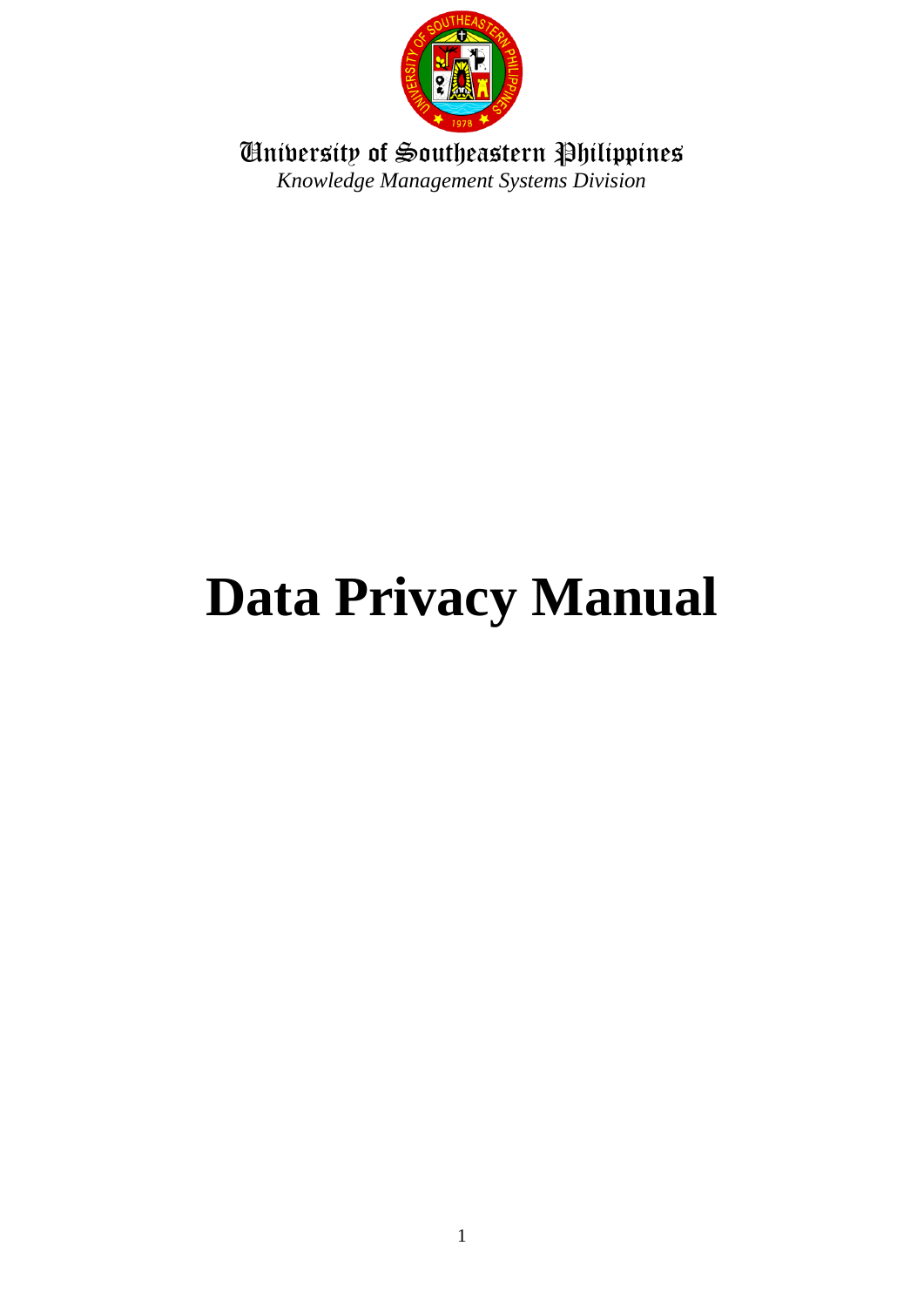

University of Southeastern Philippines *Knowledge Management Systems Division*

# **Data Privacy Manual**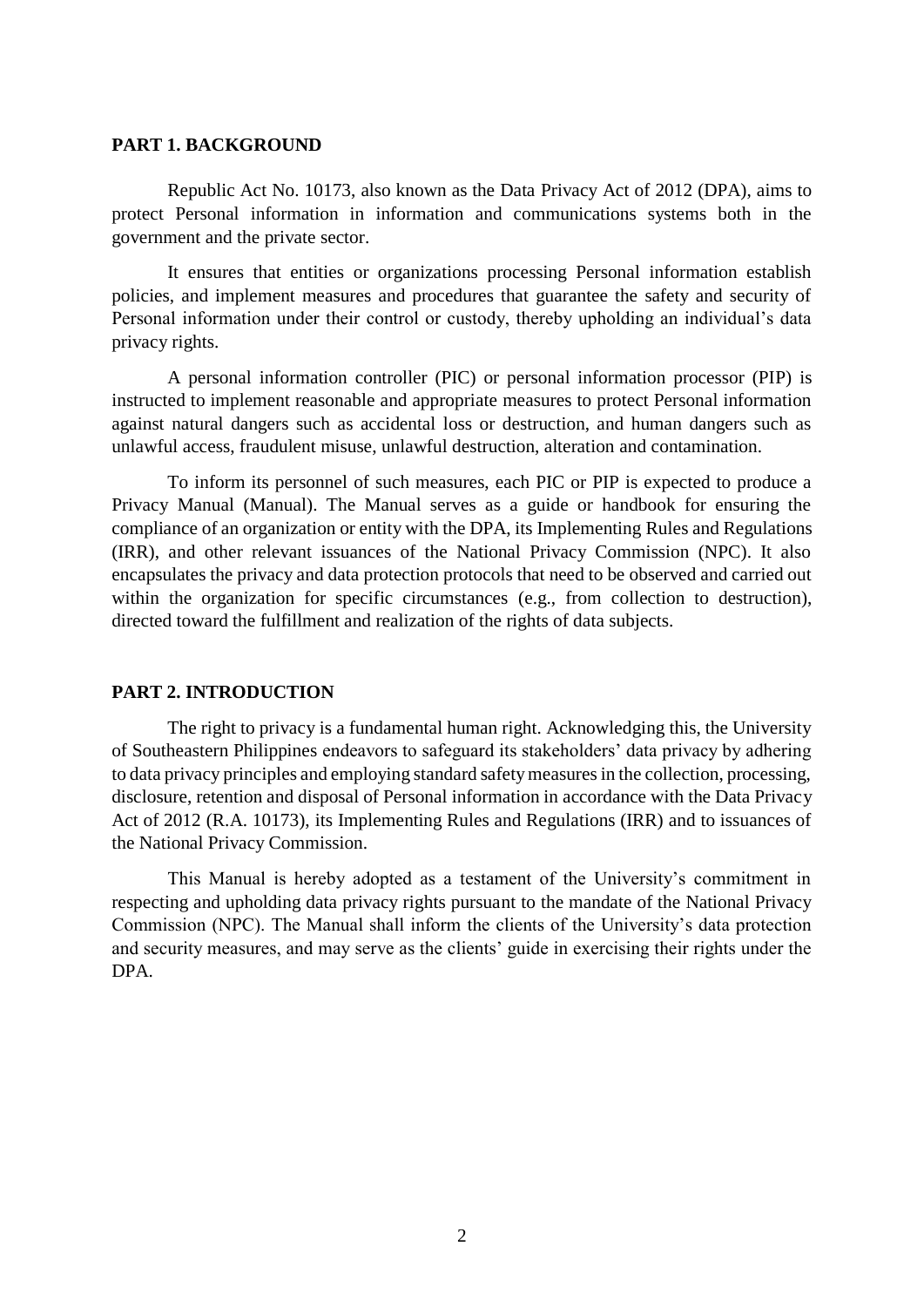## **PART 1. BACKGROUND**

Republic Act No. 10173, also known as the Data Privacy Act of 2012 (DPA), aims to protect Personal information in information and communications systems both in the government and the private sector.

It ensures that entities or organizations processing Personal information establish policies, and implement measures and procedures that guarantee the safety and security of Personal information under their control or custody, thereby upholding an individual's data privacy rights.

A personal information controller (PIC) or personal information processor (PIP) is instructed to implement reasonable and appropriate measures to protect Personal information against natural dangers such as accidental loss or destruction, and human dangers such as unlawful access, fraudulent misuse, unlawful destruction, alteration and contamination.

To inform its personnel of such measures, each PIC or PIP is expected to produce a Privacy Manual (Manual). The Manual serves as a guide or handbook for ensuring the compliance of an organization or entity with the DPA, its Implementing Rules and Regulations (IRR), and other relevant issuances of the National Privacy Commission (NPC). It also encapsulates the privacy and data protection protocols that need to be observed and carried out within the organization for specific circumstances (e.g., from collection to destruction), directed toward the fulfillment and realization of the rights of data subjects.

## **PART 2. INTRODUCTION**

The right to privacy is a fundamental human right. Acknowledging this, the University of Southeastern Philippines endeavors to safeguard its stakeholders' data privacy by adhering to data privacy principles and employing standard safety measures in the collection, processing, disclosure, retention and disposal of Personal information in accordance with the Data Privacy Act of 2012 (R.A. 10173), its Implementing Rules and Regulations (IRR) and to issuances of the National Privacy Commission.

This Manual is hereby adopted as a testament of the University's commitment in respecting and upholding data privacy rights pursuant to the mandate of the National Privacy Commission (NPC). The Manual shall inform the clients of the University's data protection and security measures, and may serve as the clients' guide in exercising their rights under the DPA.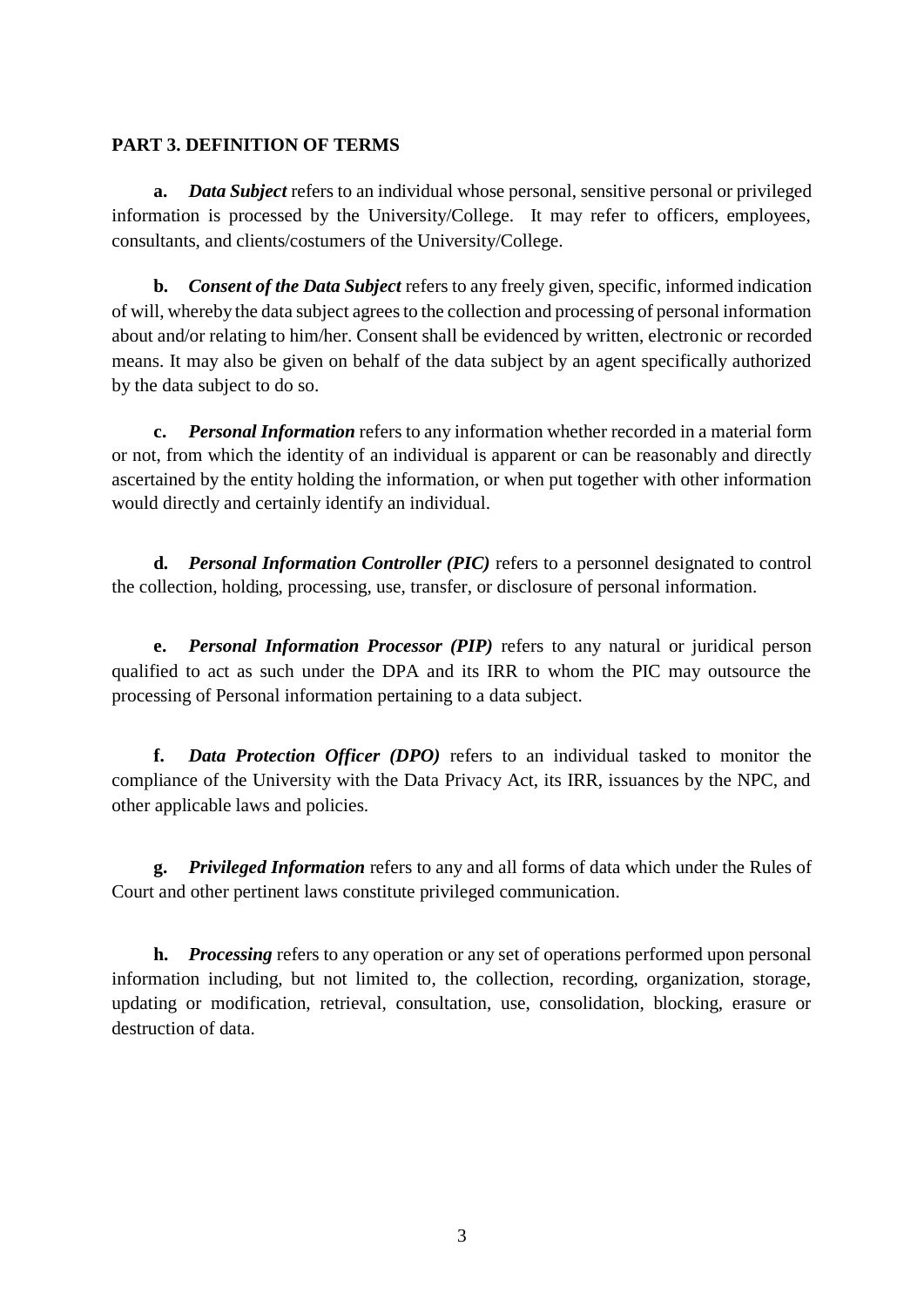## **PART 3. DEFINITION OF TERMS**

**a.** *Data Subject* refers to an individual whose personal, sensitive personal or privileged information is processed by the University/College. It may refer to officers, employees, consultants, and clients/costumers of the University/College.

**b.** *Consent of the Data Subject* refers to any freely given, specific, informed indication of will, whereby the data subject agrees to the collection and processing of personal information about and/or relating to him/her. Consent shall be evidenced by written, electronic or recorded means. It may also be given on behalf of the data subject by an agent specifically authorized by the data subject to do so.

**c.** *Personal Information* refers to any information whether recorded in a material form or not, from which the identity of an individual is apparent or can be reasonably and directly ascertained by the entity holding the information, or when put together with other information would directly and certainly identify an individual.

**d.** *Personal Information Controller (PIC)* refers to a personnel designated to control the collection, holding, processing, use, transfer, or disclosure of personal information.

**e.** *Personal Information Processor (PIP)* refers to any natural or juridical person qualified to act as such under the DPA and its IRR to whom the PIC may outsource the processing of Personal information pertaining to a data subject.

**f.** *Data Protection Officer (DPO)* refers to an individual tasked to monitor the compliance of the University with the Data Privacy Act, its IRR, issuances by the NPC, and other applicable laws and policies.

**g.** *Privileged Information* refers to any and all forms of data which under the Rules of Court and other pertinent laws constitute privileged communication.

**h.** *Processing* refers to any operation or any set of operations performed upon personal information including, but not limited to, the collection, recording, organization, storage, updating or modification, retrieval, consultation, use, consolidation, blocking, erasure or destruction of data.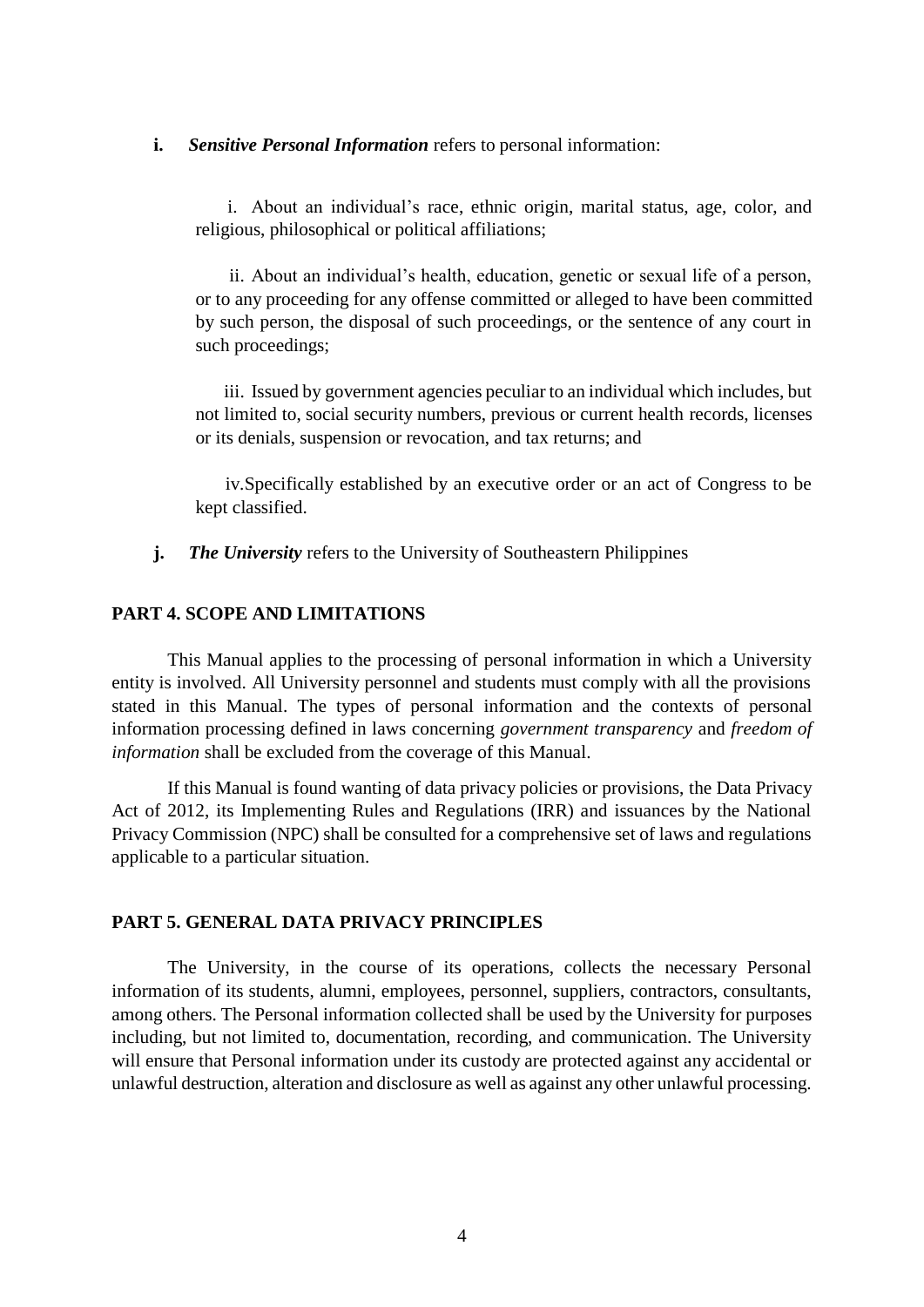#### **i.** *Sensitive Personal Information* refers to personal information:

i. About an individual's race, ethnic origin, marital status, age, color, and religious, philosophical or political affiliations;

ii. About an individual's health, education, genetic or sexual life of a person, or to any proceeding for any offense committed or alleged to have been committed by such person, the disposal of such proceedings, or the sentence of any court in such proceedings;

iii. Issued by government agencies peculiar to an individual which includes, but not limited to, social security numbers, previous or current health records, licenses or its denials, suspension or revocation, and tax returns; and

iv.Specifically established by an executive order or an act of Congress to be kept classified.

**j.** *The University* refers to the University of Southeastern Philippines

## **PART 4. SCOPE AND LIMITATIONS**

This Manual applies to the processing of personal information in which a University entity is involved. All University personnel and students must comply with all the provisions stated in this Manual. The types of personal information and the contexts of personal information processing defined in laws concerning *government transparency* and *freedom of information* shall be excluded from the coverage of this Manual.

If this Manual is found wanting of data privacy policies or provisions, the Data Privacy Act of 2012, its Implementing Rules and Regulations (IRR) and issuances by the National Privacy Commission (NPC) shall be consulted for a comprehensive set of laws and regulations applicable to a particular situation.

#### **PART 5. GENERAL DATA PRIVACY PRINCIPLES**

The University, in the course of its operations, collects the necessary Personal information of its students, alumni, employees, personnel, suppliers, contractors, consultants, among others. The Personal information collected shall be used by the University for purposes including, but not limited to, documentation, recording, and communication. The University will ensure that Personal information under its custody are protected against any accidental or unlawful destruction, alteration and disclosure as well as against any other unlawful processing.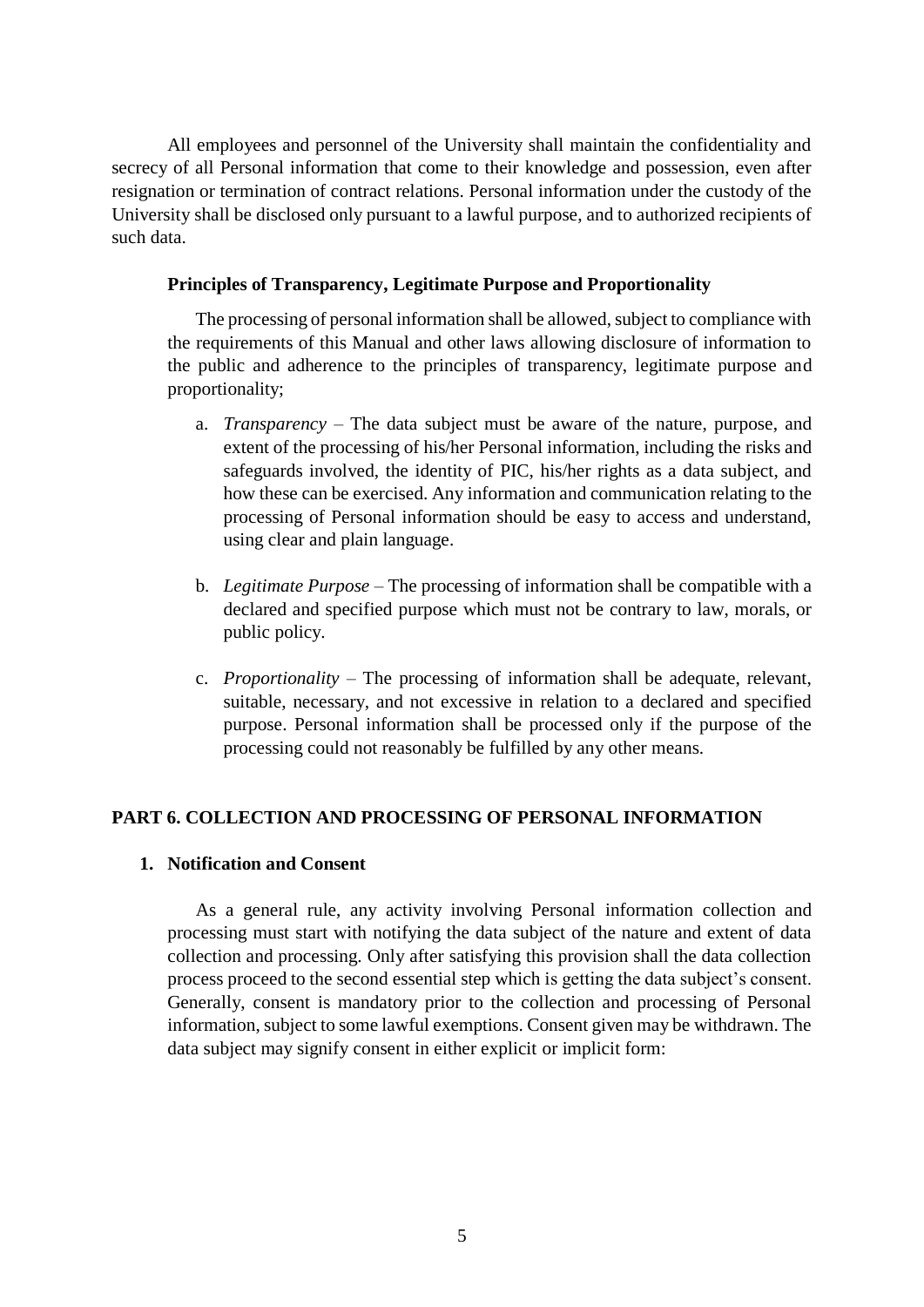All employees and personnel of the University shall maintain the confidentiality and secrecy of all Personal information that come to their knowledge and possession, even after resignation or termination of contract relations. Personal information under the custody of the University shall be disclosed only pursuant to a lawful purpose, and to authorized recipients of such data.

## **Principles of Transparency, Legitimate Purpose and Proportionality**

The processing of personal information shall be allowed, subject to compliance with the requirements of this Manual and other laws allowing disclosure of information to the public and adherence to the principles of transparency, legitimate purpose and proportionality;

- a. *Transparency* The data subject must be aware of the nature, purpose, and extent of the processing of his/her Personal information, including the risks and safeguards involved, the identity of PIC, his/her rights as a data subject, and how these can be exercised. Any information and communication relating to the processing of Personal information should be easy to access and understand, using clear and plain language.
- b. *Legitimate Purpose* The processing of information shall be compatible with a declared and specified purpose which must not be contrary to law, morals, or public policy.
- c. *Proportionality* The processing of information shall be adequate, relevant, suitable, necessary, and not excessive in relation to a declared and specified purpose. Personal information shall be processed only if the purpose of the processing could not reasonably be fulfilled by any other means.

# **PART 6. COLLECTION AND PROCESSING OF PERSONAL INFORMATION**

## **1. Notification and Consent**

As a general rule, any activity involving Personal information collection and processing must start with notifying the data subject of the nature and extent of data collection and processing. Only after satisfying this provision shall the data collection process proceed to the second essential step which is getting the data subject's consent. Generally, consent is mandatory prior to the collection and processing of Personal information, subject to some lawful exemptions. Consent given may be withdrawn. The data subject may signify consent in either explicit or implicit form: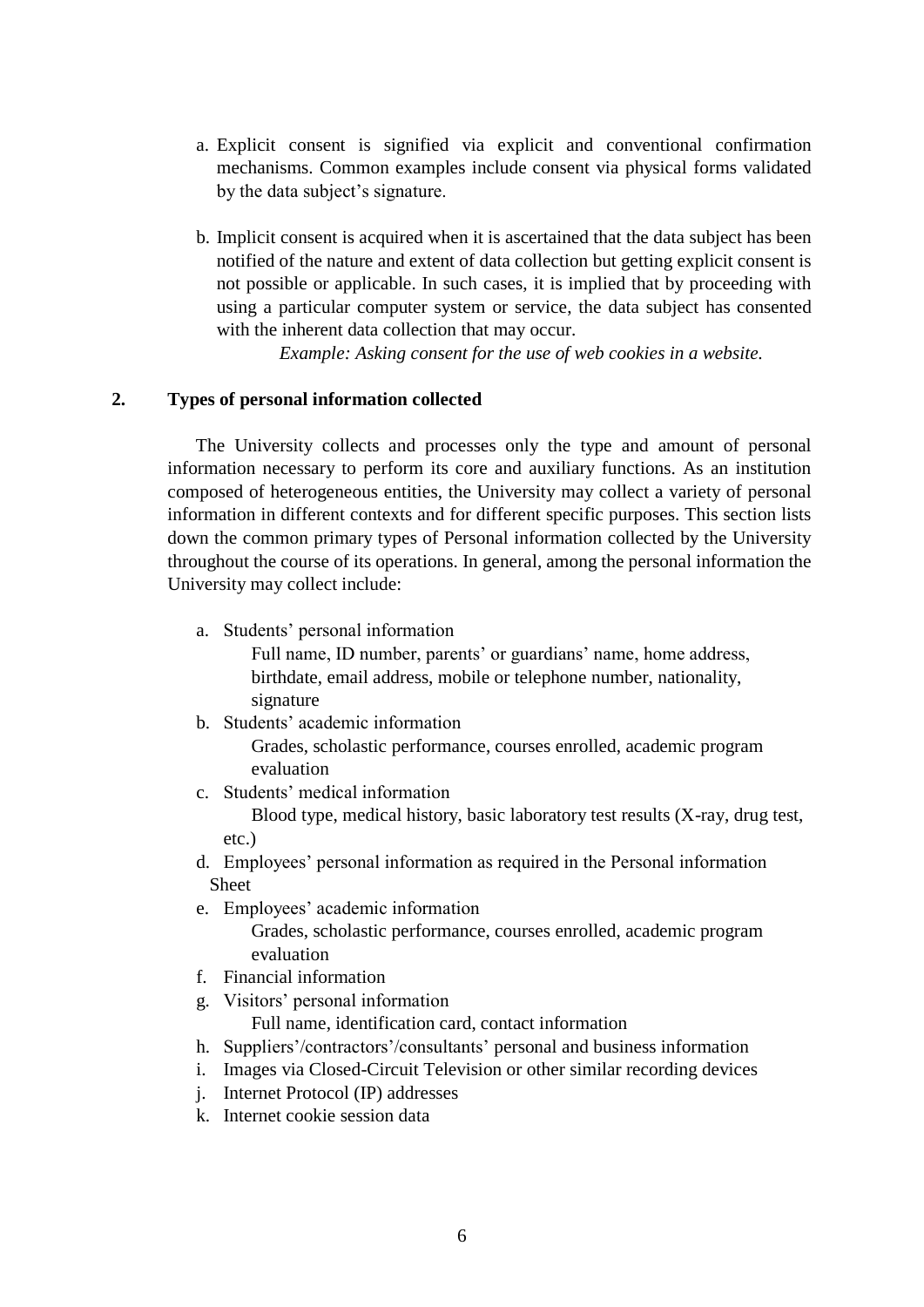- a. Explicit consent is signified via explicit and conventional confirmation mechanisms. Common examples include consent via physical forms validated by the data subject's signature.
- b. Implicit consent is acquired when it is ascertained that the data subject has been notified of the nature and extent of data collection but getting explicit consent is not possible or applicable. In such cases, it is implied that by proceeding with using a particular computer system or service, the data subject has consented with the inherent data collection that may occur.

*Example: Asking consent for the use of web cookies in a website.*

# **2. Types of personal information collected**

The University collects and processes only the type and amount of personal information necessary to perform its core and auxiliary functions. As an institution composed of heterogeneous entities, the University may collect a variety of personal information in different contexts and for different specific purposes. This section lists down the common primary types of Personal information collected by the University throughout the course of its operations. In general, among the personal information the University may collect include:

a. Students' personal information

Full name, ID number, parents' or guardians' name, home address, birthdate, email address, mobile or telephone number, nationality, signature

b. Students' academic information

Grades, scholastic performance, courses enrolled, academic program evaluation

c. Students' medical information

Blood type, medical history, basic laboratory test results (X-ray, drug test, etc.)

- d. Employees' personal information as required in the Personal information Sheet
- e. Employees' academic information

Grades, scholastic performance, courses enrolled, academic program evaluation

- f. Financial information
- g. Visitors' personal information

Full name, identification card, contact information

- h. Suppliers'/contractors'/consultants' personal and business information
- i. Images via Closed-Circuit Television or other similar recording devices
- j. Internet Protocol (IP) addresses
- k. Internet cookie session data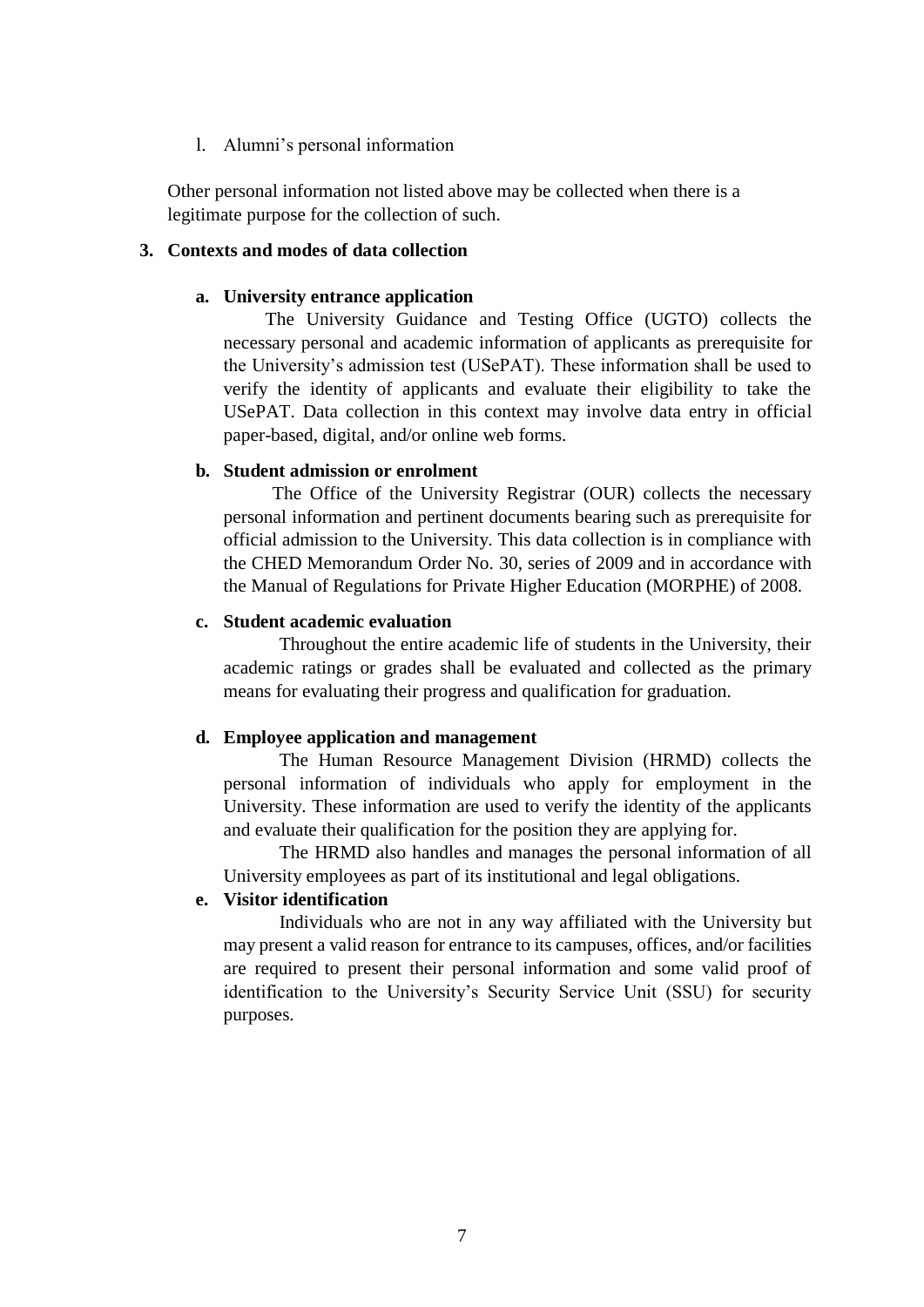## l. Alumni's personal information

Other personal information not listed above may be collected when there is a legitimate purpose for the collection of such.

## **3. Contexts and modes of data collection**

#### **a. University entrance application**

The University Guidance and Testing Office (UGTO) collects the necessary personal and academic information of applicants as prerequisite for the University's admission test (USePAT). These information shall be used to verify the identity of applicants and evaluate their eligibility to take the USePAT. Data collection in this context may involve data entry in official paper-based, digital, and/or online web forms.

#### **b. Student admission or enrolment**

The Office of the University Registrar (OUR) collects the necessary personal information and pertinent documents bearing such as prerequisite for official admission to the University. This data collection is in compliance with the CHED Memorandum Order No. 30, series of 2009 and in accordance with the Manual of Regulations for Private Higher Education (MORPHE) of 2008.

#### **c. Student academic evaluation**

Throughout the entire academic life of students in the University, their academic ratings or grades shall be evaluated and collected as the primary means for evaluating their progress and qualification for graduation.

#### **d. Employee application and management**

The Human Resource Management Division (HRMD) collects the personal information of individuals who apply for employment in the University. These information are used to verify the identity of the applicants and evaluate their qualification for the position they are applying for.

The HRMD also handles and manages the personal information of all University employees as part of its institutional and legal obligations.

## **e. Visitor identification**

Individuals who are not in any way affiliated with the University but may present a valid reason for entrance to its campuses, offices, and/or facilities are required to present their personal information and some valid proof of identification to the University's Security Service Unit (SSU) for security purposes.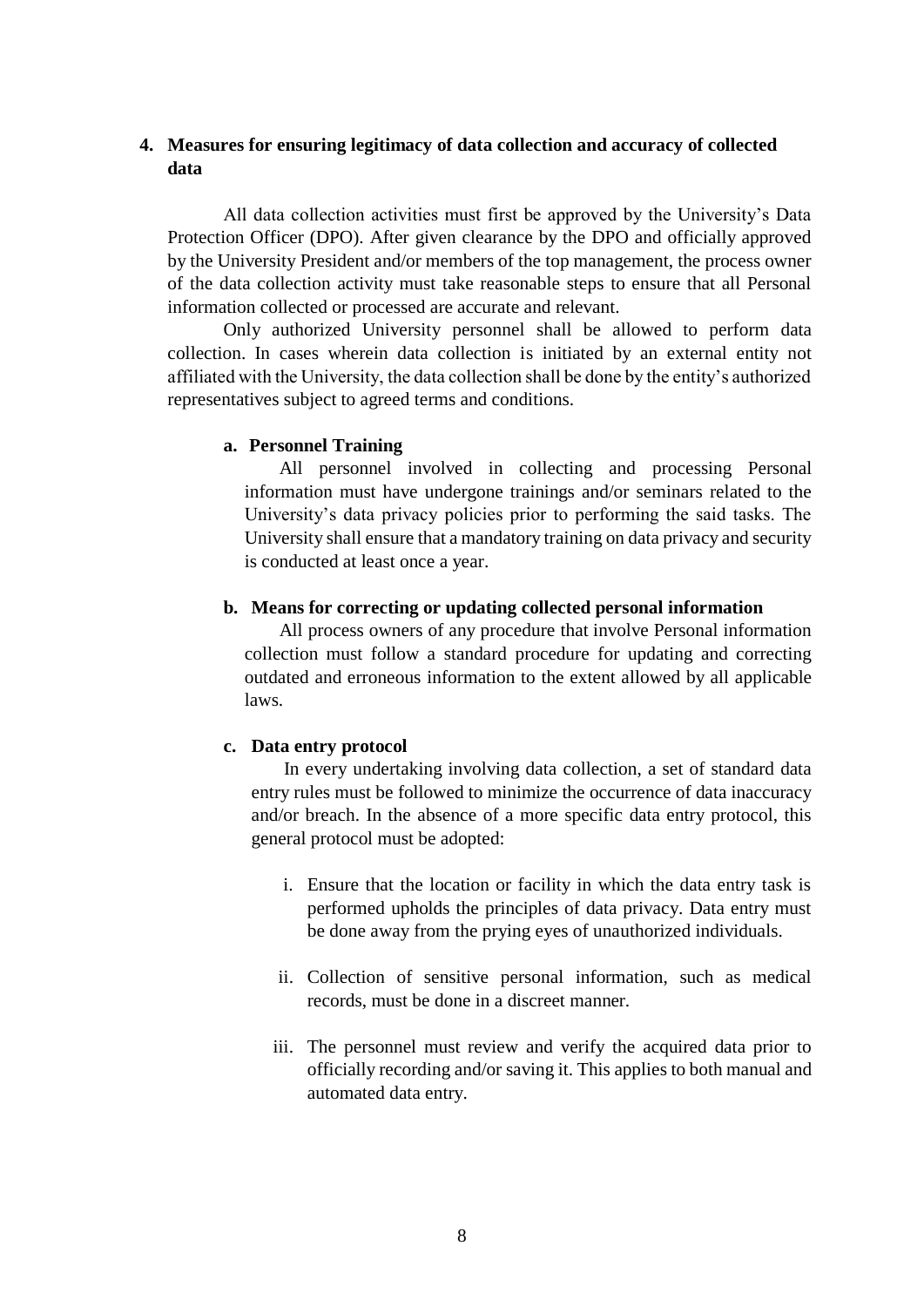## **4. Measures for ensuring legitimacy of data collection and accuracy of collected data**

All data collection activities must first be approved by the University's Data Protection Officer (DPO). After given clearance by the DPO and officially approved by the University President and/or members of the top management, the process owner of the data collection activity must take reasonable steps to ensure that all Personal information collected or processed are accurate and relevant.

Only authorized University personnel shall be allowed to perform data collection. In cases wherein data collection is initiated by an external entity not affiliated with the University, the data collection shall be done by the entity's authorized representatives subject to agreed terms and conditions.

#### **a. Personnel Training**

All personnel involved in collecting and processing Personal information must have undergone trainings and/or seminars related to the University's data privacy policies prior to performing the said tasks. The University shall ensure that a mandatory training on data privacy and security is conducted at least once a year.

#### **b. Means for correcting or updating collected personal information**

All process owners of any procedure that involve Personal information collection must follow a standard procedure for updating and correcting outdated and erroneous information to the extent allowed by all applicable laws.

#### **c. Data entry protocol**

In every undertaking involving data collection, a set of standard data entry rules must be followed to minimize the occurrence of data inaccuracy and/or breach. In the absence of a more specific data entry protocol, this general protocol must be adopted:

- i. Ensure that the location or facility in which the data entry task is performed upholds the principles of data privacy. Data entry must be done away from the prying eyes of unauthorized individuals.
- ii. Collection of sensitive personal information, such as medical records, must be done in a discreet manner.
- iii. The personnel must review and verify the acquired data prior to officially recording and/or saving it. This applies to both manual and automated data entry.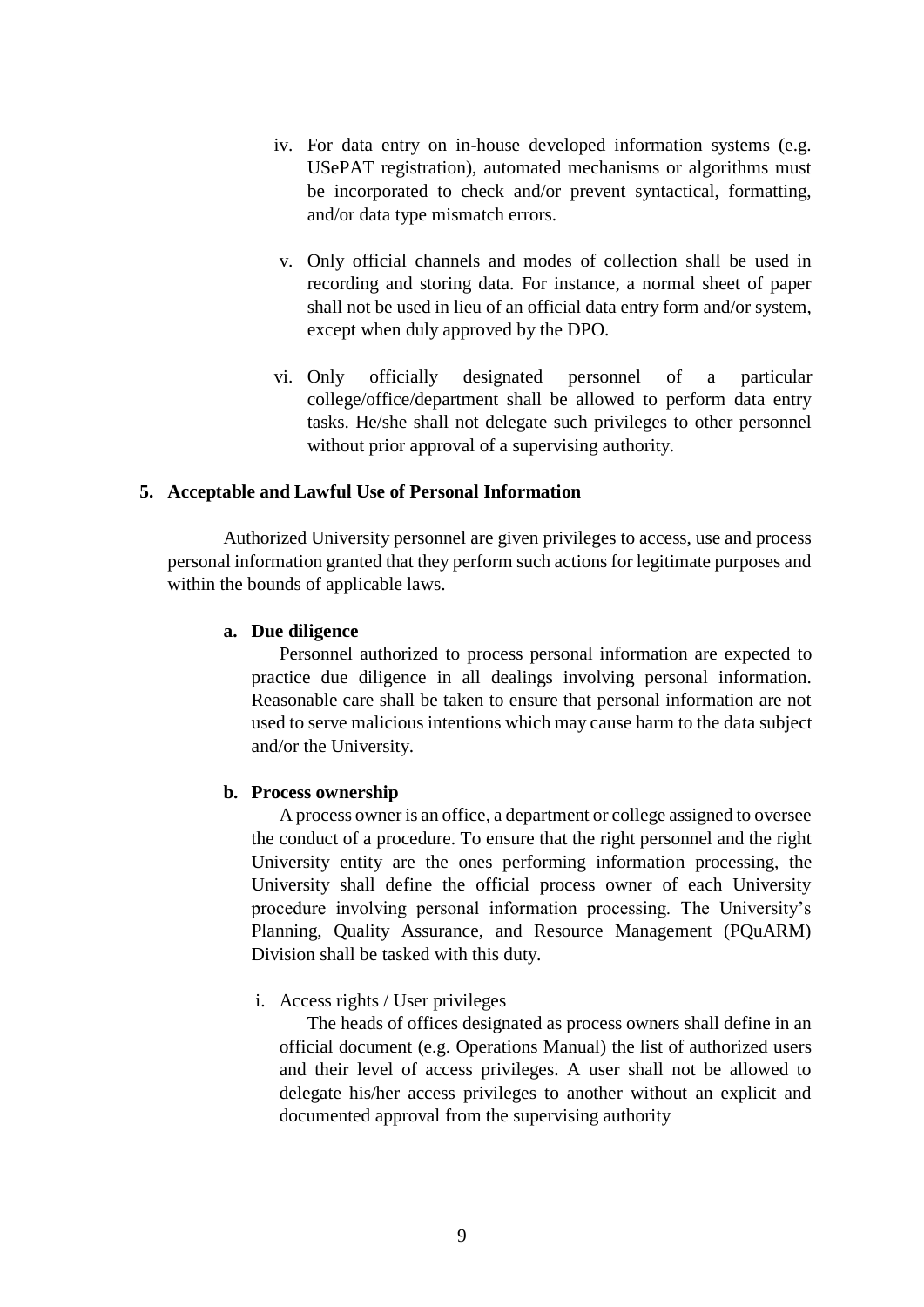- iv. For data entry on in-house developed information systems (e.g. USePAT registration), automated mechanisms or algorithms must be incorporated to check and/or prevent syntactical, formatting, and/or data type mismatch errors.
- v. Only official channels and modes of collection shall be used in recording and storing data. For instance, a normal sheet of paper shall not be used in lieu of an official data entry form and/or system, except when duly approved by the DPO.
- vi. Only officially designated personnel of a particular college/office/department shall be allowed to perform data entry tasks. He/she shall not delegate such privileges to other personnel without prior approval of a supervising authority.

#### **5. Acceptable and Lawful Use of Personal Information**

Authorized University personnel are given privileges to access, use and process personal information granted that they perform such actions for legitimate purposes and within the bounds of applicable laws.

#### **a. Due diligence**

Personnel authorized to process personal information are expected to practice due diligence in all dealings involving personal information. Reasonable care shall be taken to ensure that personal information are not used to serve malicious intentions which may cause harm to the data subject and/or the University.

#### **b. Process ownership**

A process owner is an office, a department or college assigned to oversee the conduct of a procedure. To ensure that the right personnel and the right University entity are the ones performing information processing, the University shall define the official process owner of each University procedure involving personal information processing. The University's Planning, Quality Assurance, and Resource Management (PQuARM) Division shall be tasked with this duty.

#### i. Access rights / User privileges

The heads of offices designated as process owners shall define in an official document (e.g. Operations Manual) the list of authorized users and their level of access privileges. A user shall not be allowed to delegate his/her access privileges to another without an explicit and documented approval from the supervising authority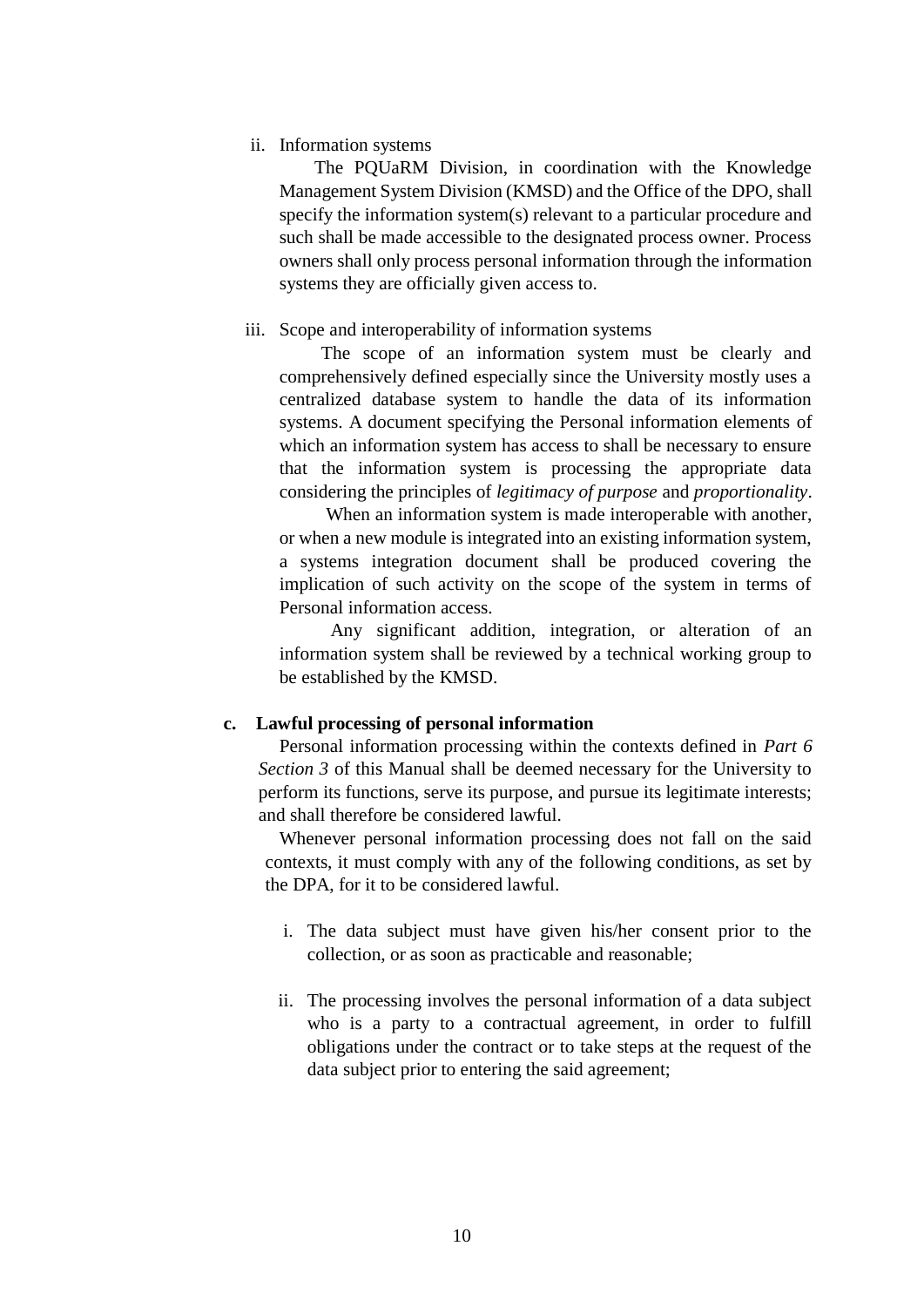## ii. Information systems

The PQUaRM Division, in coordination with the Knowledge Management System Division (KMSD) and the Office of the DPO, shall specify the information system(s) relevant to a particular procedure and such shall be made accessible to the designated process owner. Process owners shall only process personal information through the information systems they are officially given access to.

#### iii. Scope and interoperability of information systems

The scope of an information system must be clearly and comprehensively defined especially since the University mostly uses a centralized database system to handle the data of its information systems. A document specifying the Personal information elements of which an information system has access to shall be necessary to ensure that the information system is processing the appropriate data considering the principles of *legitimacy of purpose* and *proportionality*.

When an information system is made interoperable with another, or when a new module is integrated into an existing information system, a systems integration document shall be produced covering the implication of such activity on the scope of the system in terms of Personal information access.

 Any significant addition, integration, or alteration of an information system shall be reviewed by a technical working group to be established by the KMSD.

## **c. Lawful processing of personal information**

Personal information processing within the contexts defined in *Part 6 Section 3* of this Manual shall be deemed necessary for the University to perform its functions, serve its purpose, and pursue its legitimate interests; and shall therefore be considered lawful.

Whenever personal information processing does not fall on the said contexts, it must comply with any of the following conditions, as set by the DPA, for it to be considered lawful.

- i. The data subject must have given his/her consent prior to the collection, or as soon as practicable and reasonable;
- ii. The processing involves the personal information of a data subject who is a party to a contractual agreement, in order to fulfill obligations under the contract or to take steps at the request of the data subject prior to entering the said agreement;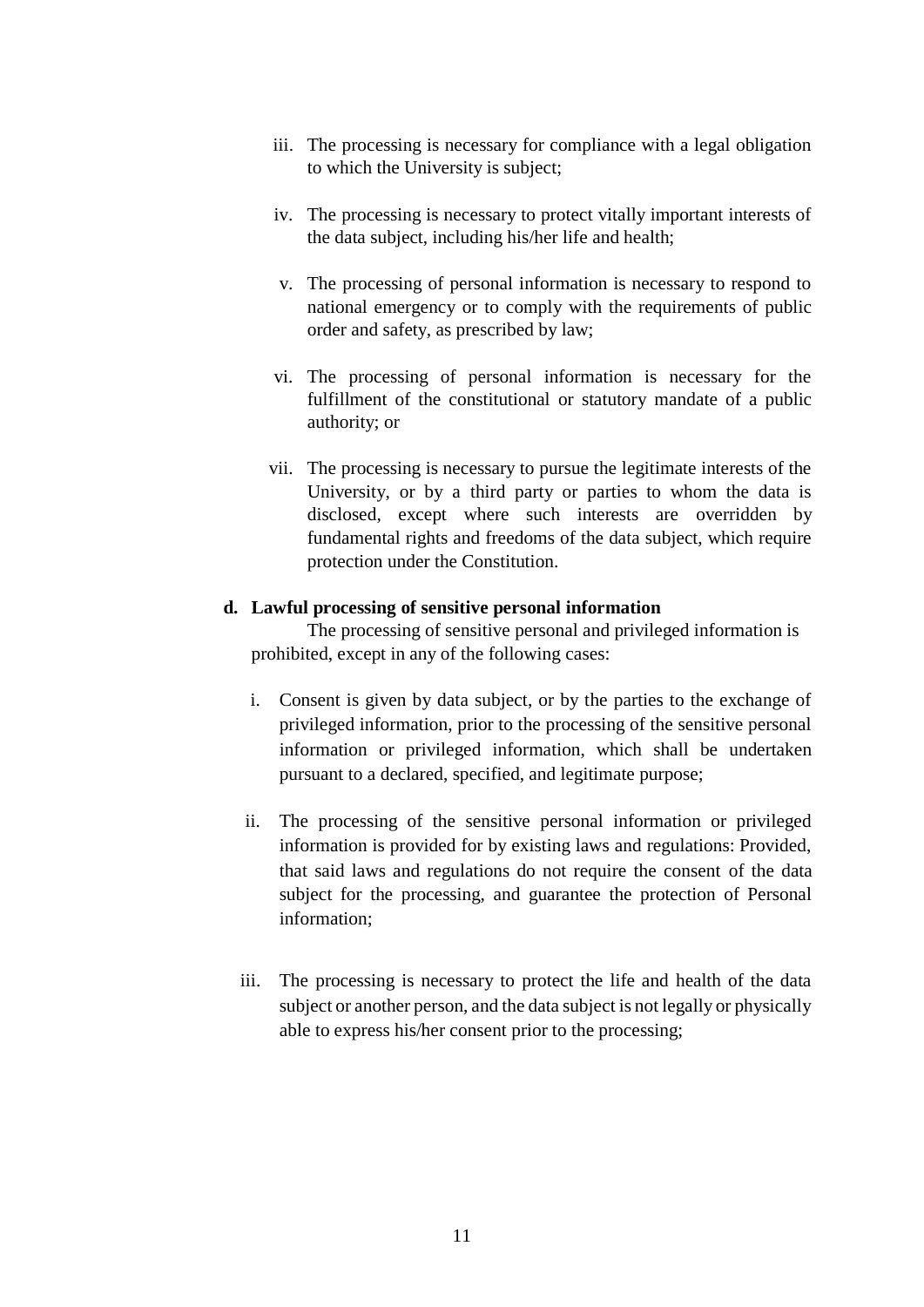- iii. The processing is necessary for compliance with a legal obligation to which the University is subject;
- iv. The processing is necessary to protect vitally important interests of the data subject, including his/her life and health;
- v. The processing of personal information is necessary to respond to national emergency or to comply with the requirements of public order and safety, as prescribed by law;
- vi. The processing of personal information is necessary for the fulfillment of the constitutional or statutory mandate of a public authority; or
- vii. The processing is necessary to pursue the legitimate interests of the University, or by a third party or parties to whom the data is disclosed, except where such interests are overridden by fundamental rights and freedoms of the data subject, which require protection under the Constitution.

## **d. Lawful processing of sensitive personal information**

The processing of sensitive personal and privileged information is prohibited, except in any of the following cases:

- i. Consent is given by data subject, or by the parties to the exchange of privileged information, prior to the processing of the sensitive personal information or privileged information, which shall be undertaken pursuant to a declared, specified, and legitimate purpose;
- ii. The processing of the sensitive personal information or privileged information is provided for by existing laws and regulations: Provided, that said laws and regulations do not require the consent of the data subject for the processing, and guarantee the protection of Personal information;
- iii. The processing is necessary to protect the life and health of the data subject or another person, and the data subject is not legally or physically able to express his/her consent prior to the processing;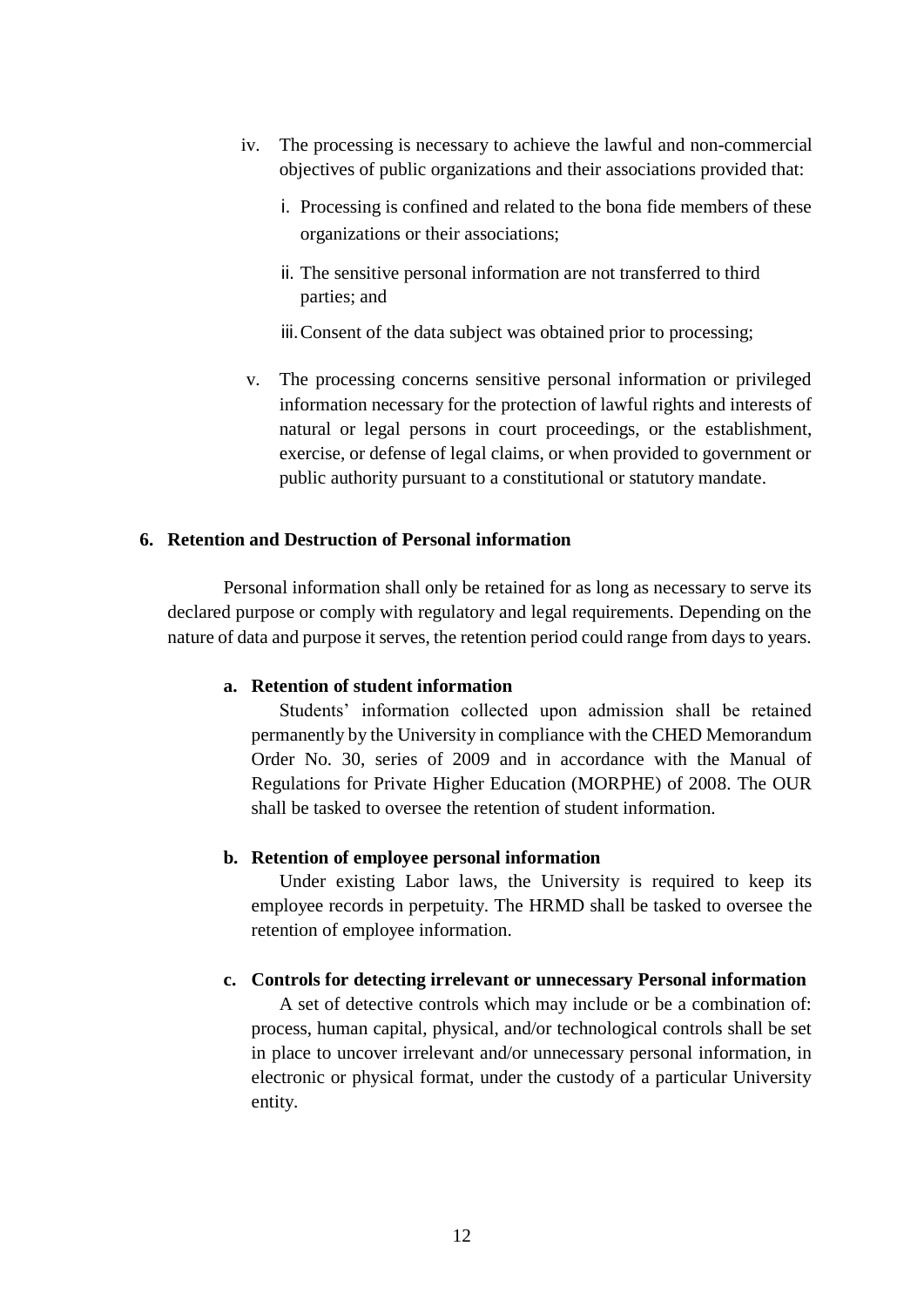- iv. The processing is necessary to achieve the lawful and non-commercial objectives of public organizations and their associations provided that:
	- i. Processing is confined and related to the bona fide members of these organizations or their associations;
	- ii. The sensitive personal information are not transferred to third parties; and
	- iii.Consent of the data subject was obtained prior to processing;
- v. The processing concerns sensitive personal information or privileged information necessary for the protection of lawful rights and interests of natural or legal persons in court proceedings, or the establishment, exercise, or defense of legal claims, or when provided to government or public authority pursuant to a constitutional or statutory mandate.

## **6. Retention and Destruction of Personal information**

Personal information shall only be retained for as long as necessary to serve its declared purpose or comply with regulatory and legal requirements. Depending on the nature of data and purpose it serves, the retention period could range from days to years.

## **a. Retention of student information**

Students' information collected upon admission shall be retained permanently by the University in compliance with the CHED Memorandum Order No. 30, series of 2009 and in accordance with the Manual of Regulations for Private Higher Education (MORPHE) of 2008. The OUR shall be tasked to oversee the retention of student information.

## **b. Retention of employee personal information**

Under existing Labor laws, the University is required to keep its employee records in perpetuity. The HRMD shall be tasked to oversee the retention of employee information.

## **c. Controls for detecting irrelevant or unnecessary Personal information**

A set of detective controls which may include or be a combination of: process, human capital, physical, and/or technological controls shall be set in place to uncover irrelevant and/or unnecessary personal information, in electronic or physical format, under the custody of a particular University entity.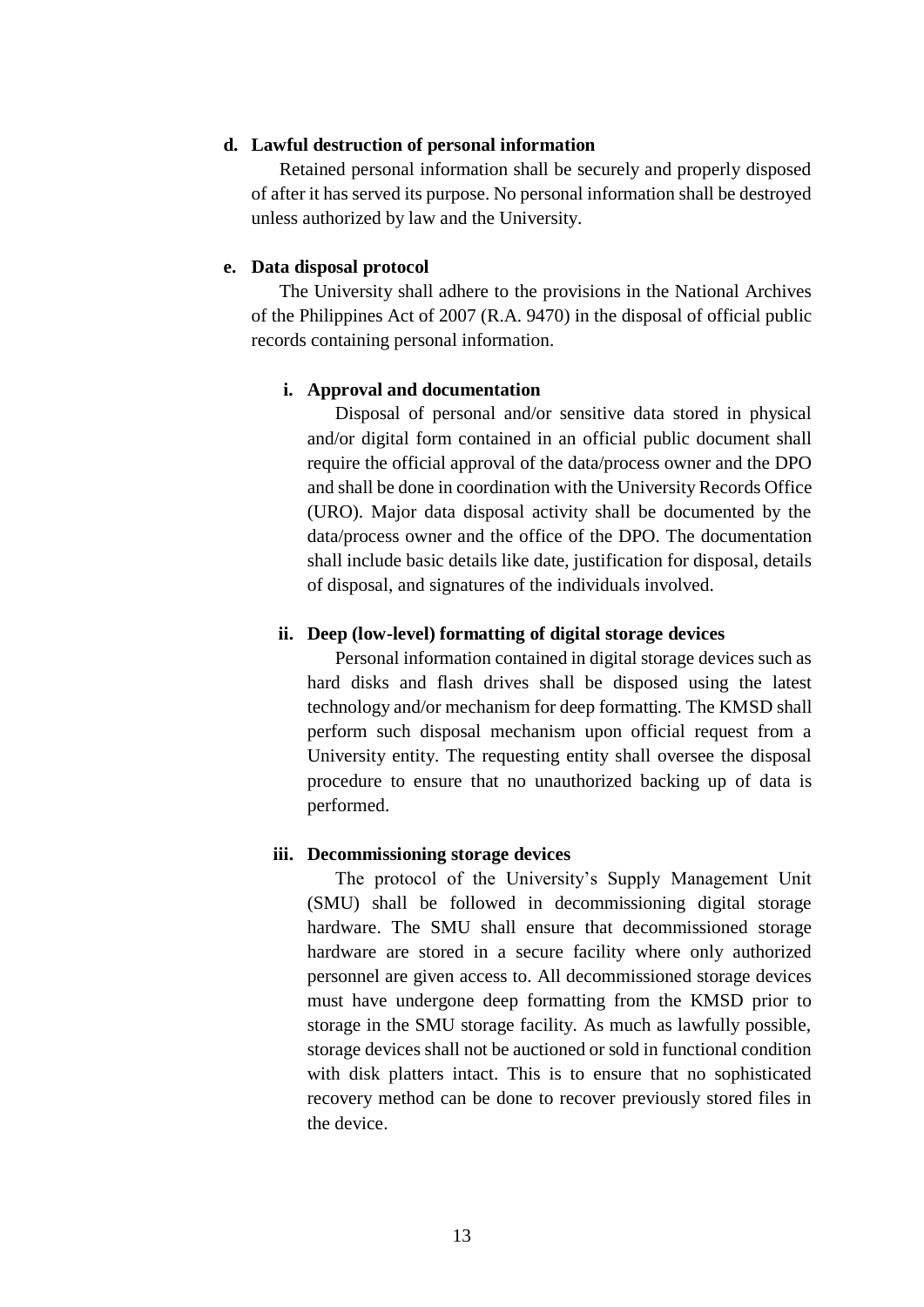## **d. Lawful destruction of personal information**

Retained personal information shall be securely and properly disposed of after it has served its purpose. No personal information shall be destroyed unless authorized by law and the University.

## **e. Data disposal protocol**

The University shall adhere to the provisions in the National Archives of the Philippines Act of 2007 (R.A. 9470) in the disposal of official public records containing personal information.

## **i. Approval and documentation**

Disposal of personal and/or sensitive data stored in physical and/or digital form contained in an official public document shall require the official approval of the data/process owner and the DPO and shall be done in coordination with the University Records Office (URO). Major data disposal activity shall be documented by the data/process owner and the office of the DPO. The documentation shall include basic details like date, justification for disposal, details of disposal, and signatures of the individuals involved.

## **ii. Deep (low-level) formatting of digital storage devices**

Personal information contained in digital storage devices such as hard disks and flash drives shall be disposed using the latest technology and/or mechanism for deep formatting. The KMSD shall perform such disposal mechanism upon official request from a University entity. The requesting entity shall oversee the disposal procedure to ensure that no unauthorized backing up of data is performed.

#### **iii. Decommissioning storage devices**

The protocol of the University's Supply Management Unit (SMU) shall be followed in decommissioning digital storage hardware. The SMU shall ensure that decommissioned storage hardware are stored in a secure facility where only authorized personnel are given access to. All decommissioned storage devices must have undergone deep formatting from the KMSD prior to storage in the SMU storage facility. As much as lawfully possible, storage devices shall not be auctioned or sold in functional condition with disk platters intact. This is to ensure that no sophisticated recovery method can be done to recover previously stored files in the device.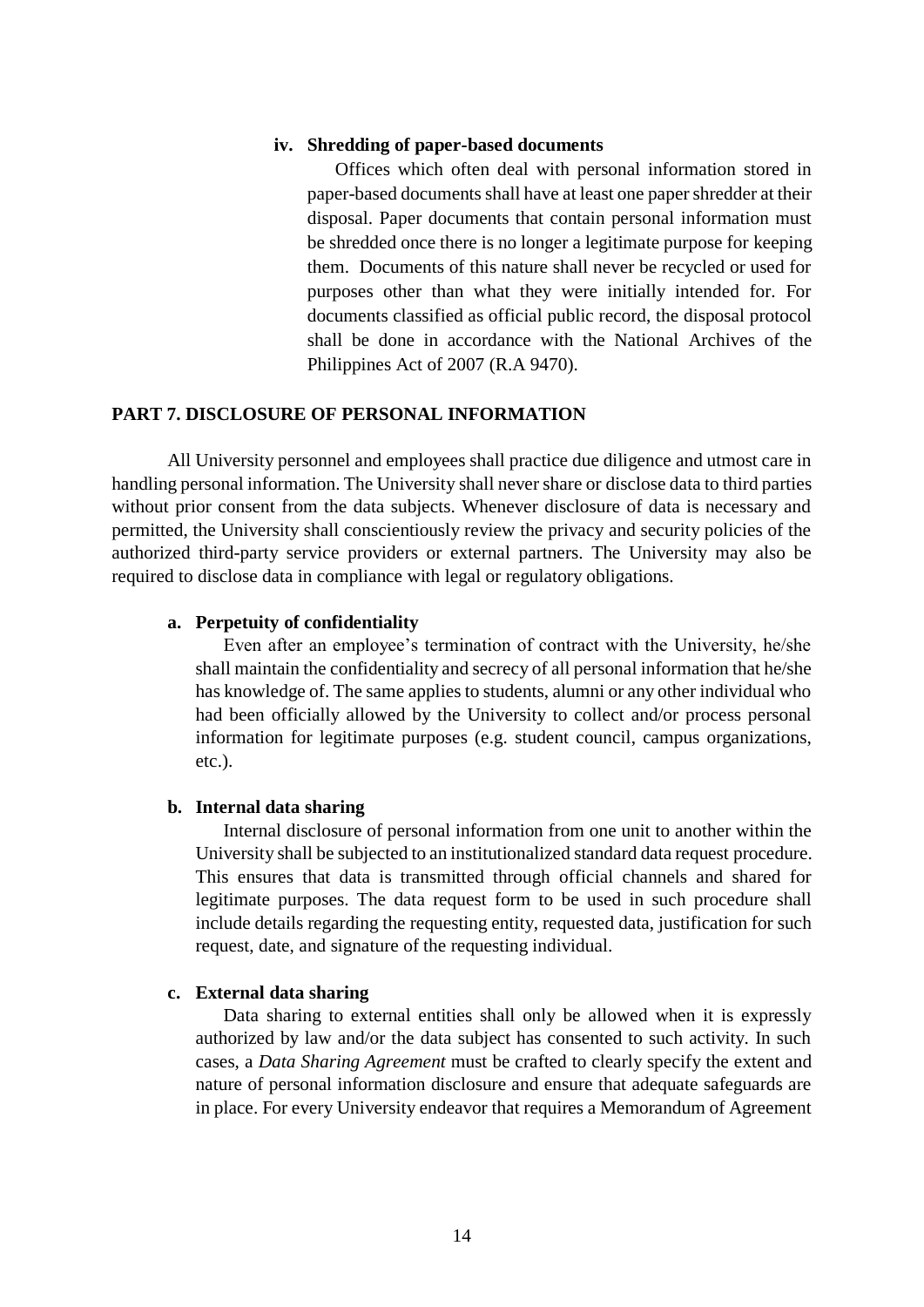## **iv. Shredding of paper-based documents**

Offices which often deal with personal information stored in paper-based documents shall have at least one paper shredder at their disposal. Paper documents that contain personal information must be shredded once there is no longer a legitimate purpose for keeping them. Documents of this nature shall never be recycled or used for purposes other than what they were initially intended for. For documents classified as official public record, the disposal protocol shall be done in accordance with the National Archives of the Philippines Act of 2007 (R.A 9470).

## **PART 7. DISCLOSURE OF PERSONAL INFORMATION**

All University personnel and employees shall practice due diligence and utmost care in handling personal information. The University shall never share or disclose data to third parties without prior consent from the data subjects. Whenever disclosure of data is necessary and permitted, the University shall conscientiously review the privacy and security policies of the authorized third-party service providers or external partners. The University may also be required to disclose data in compliance with legal or regulatory obligations.

#### **a. Perpetuity of confidentiality**

Even after an employee's termination of contract with the University, he/she shall maintain the confidentiality and secrecy of all personal information that he/she has knowledge of. The same applies to students, alumni or any other individual who had been officially allowed by the University to collect and/or process personal information for legitimate purposes (e.g. student council, campus organizations, etc.).

#### **b. Internal data sharing**

Internal disclosure of personal information from one unit to another within the University shall be subjected to an institutionalized standard data request procedure. This ensures that data is transmitted through official channels and shared for legitimate purposes. The data request form to be used in such procedure shall include details regarding the requesting entity, requested data, justification for such request, date, and signature of the requesting individual.

## **c. External data sharing**

Data sharing to external entities shall only be allowed when it is expressly authorized by law and/or the data subject has consented to such activity. In such cases, a *Data Sharing Agreement* must be crafted to clearly specify the extent and nature of personal information disclosure and ensure that adequate safeguards are in place. For every University endeavor that requires a Memorandum of Agreement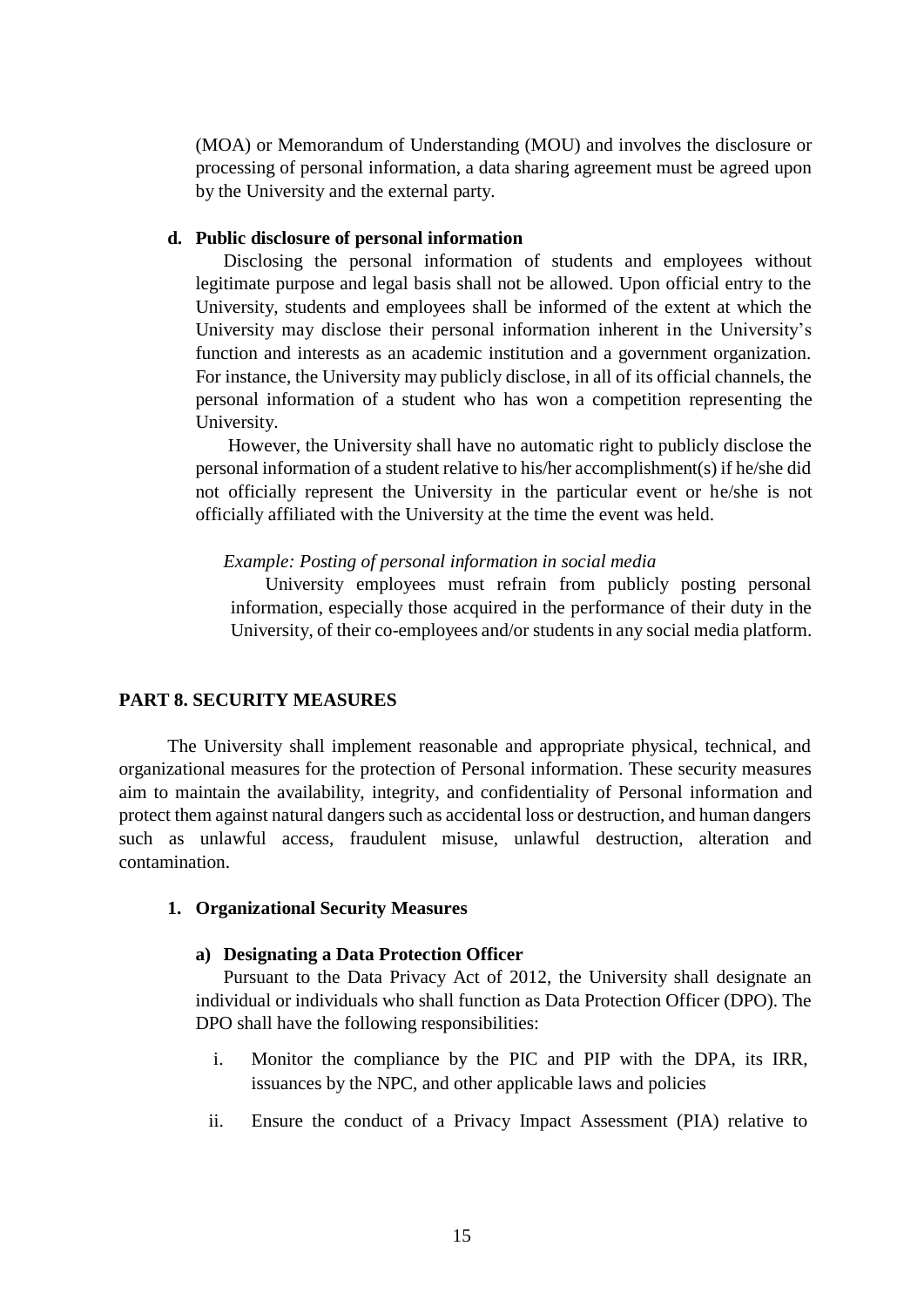(MOA) or Memorandum of Understanding (MOU) and involves the disclosure or processing of personal information, a data sharing agreement must be agreed upon by the University and the external party.

#### **d. Public disclosure of personal information**

Disclosing the personal information of students and employees without legitimate purpose and legal basis shall not be allowed. Upon official entry to the University, students and employees shall be informed of the extent at which the University may disclose their personal information inherent in the University's function and interests as an academic institution and a government organization. For instance, the University may publicly disclose, in all of its official channels, the personal information of a student who has won a competition representing the University.

However, the University shall have no automatic right to publicly disclose the personal information of a student relative to his/her accomplishment(s) if he/she did not officially represent the University in the particular event or he/she is not officially affiliated with the University at the time the event was held.

#### *Example: Posting of personal information in social media*

University employees must refrain from publicly posting personal information, especially those acquired in the performance of their duty in the University, of their co-employees and/or students in any social media platform.

#### **PART 8. SECURITY MEASURES**

The University shall implement reasonable and appropriate physical, technical, and organizational measures for the protection of Personal information. These security measures aim to maintain the availability, integrity, and confidentiality of Personal information and protect them against natural dangers such as accidental loss or destruction, and human dangers such as unlawful access, fraudulent misuse, unlawful destruction, alteration and contamination.

#### **1. Organizational Security Measures**

#### **a) Designating a Data Protection Officer**

Pursuant to the Data Privacy Act of 2012, the University shall designate an individual or individuals who shall function as Data Protection Officer (DPO). The DPO shall have the following responsibilities:

- i. Monitor the compliance by the PIC and PIP with the DPA, its IRR, issuances by the NPC, and other applicable laws and policies
- ii. Ensure the conduct of a Privacy Impact Assessment (PIA) relative to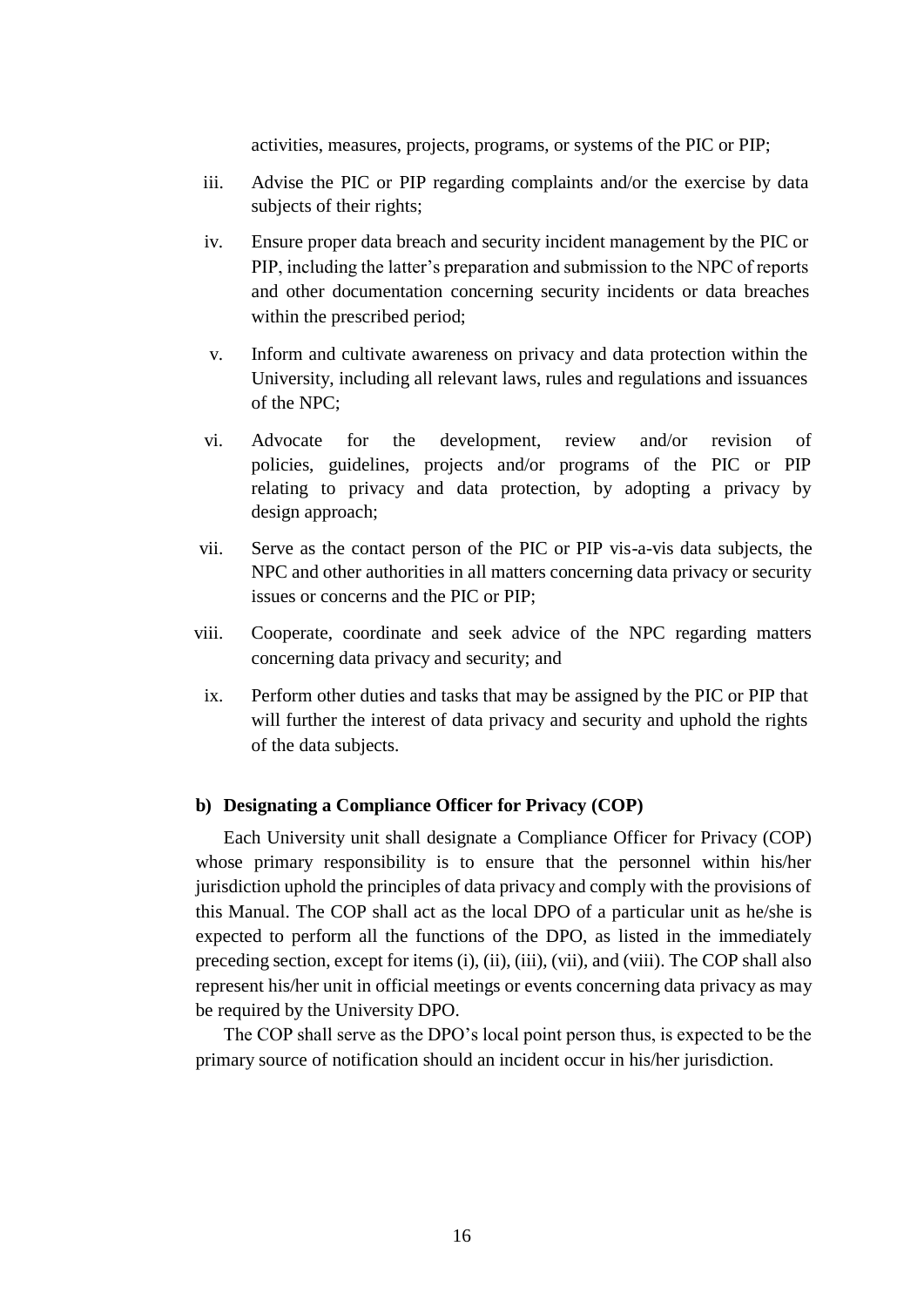activities, measures, projects, programs, or systems of the PIC or PIP;

- iii. Advise the PIC or PIP regarding complaints and/or the exercise by data subjects of their rights;
- iv. Ensure proper data breach and security incident management by the PIC or PIP, including the latter's preparation and submission to the NPC of reports and other documentation concerning security incidents or data breaches within the prescribed period;
- v. Inform and cultivate awareness on privacy and data protection within the University, including all relevant laws, rules and regulations and issuances of the NPC;
- vi. Advocate for the development, review and/or revision of policies, guidelines, projects and/or programs of the PIC or PIP relating to privacy and data protection, by adopting a privacy by design approach;
- vii. Serve as the contact person of the PIC or PIP vis-a-vis data subjects, the NPC and other authorities in all matters concerning data privacy or security issues or concerns and the PIC or PIP;
- viii. Cooperate, coordinate and seek advice of the NPC regarding matters concerning data privacy and security; and
- ix. Perform other duties and tasks that may be assigned by the PIC or PIP that will further the interest of data privacy and security and uphold the rights of the data subjects.

#### **b) Designating a Compliance Officer for Privacy (COP)**

Each University unit shall designate a Compliance Officer for Privacy (COP) whose primary responsibility is to ensure that the personnel within his/her jurisdiction uphold the principles of data privacy and comply with the provisions of this Manual. The COP shall act as the local DPO of a particular unit as he/she is expected to perform all the functions of the DPO, as listed in the immediately preceding section, except for items (i), (ii), (iii), (vii), and (viii). The COP shall also represent his/her unit in official meetings or events concerning data privacy as may be required by the University DPO.

The COP shall serve as the DPO's local point person thus, is expected to be the primary source of notification should an incident occur in his/her jurisdiction.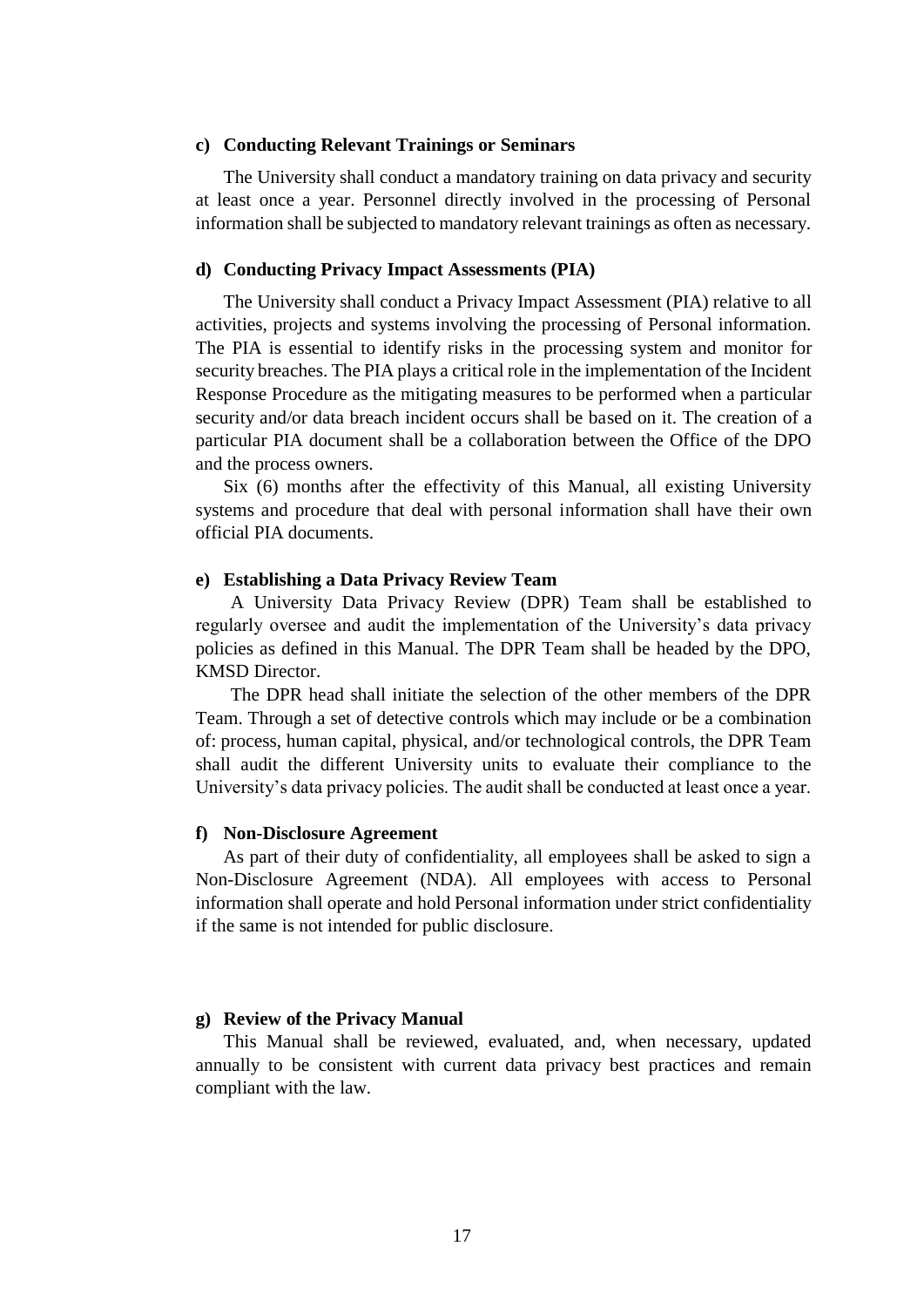#### **c) Conducting Relevant Trainings or Seminars**

The University shall conduct a mandatory training on data privacy and security at least once a year. Personnel directly involved in the processing of Personal information shall be subjected to mandatory relevant trainings as often as necessary.

#### **d) Conducting Privacy Impact Assessments (PIA)**

The University shall conduct a Privacy Impact Assessment (PIA) relative to all activities, projects and systems involving the processing of Personal information. The PIA is essential to identify risks in the processing system and monitor for security breaches. The PIA plays a critical role in the implementation of the Incident Response Procedure as the mitigating measures to be performed when a particular security and/or data breach incident occurs shall be based on it. The creation of a particular PIA document shall be a collaboration between the Office of the DPO and the process owners.

Six (6) months after the effectivity of this Manual, all existing University systems and procedure that deal with personal information shall have their own official PIA documents.

#### **e) Establishing a Data Privacy Review Team**

A University Data Privacy Review (DPR) Team shall be established to regularly oversee and audit the implementation of the University's data privacy policies as defined in this Manual. The DPR Team shall be headed by the DPO, KMSD Director.

The DPR head shall initiate the selection of the other members of the DPR Team. Through a set of detective controls which may include or be a combination of: process, human capital, physical, and/or technological controls, the DPR Team shall audit the different University units to evaluate their compliance to the University's data privacy policies. The audit shall be conducted at least once a year.

#### **f) Non-Disclosure Agreement**

As part of their duty of confidentiality, all employees shall be asked to sign a Non-Disclosure Agreement (NDA). All employees with access to Personal information shall operate and hold Personal information under strict confidentiality if the same is not intended for public disclosure.

## **g) Review of the Privacy Manual**

This Manual shall be reviewed, evaluated, and, when necessary, updated annually to be consistent with current data privacy best practices and remain compliant with the law.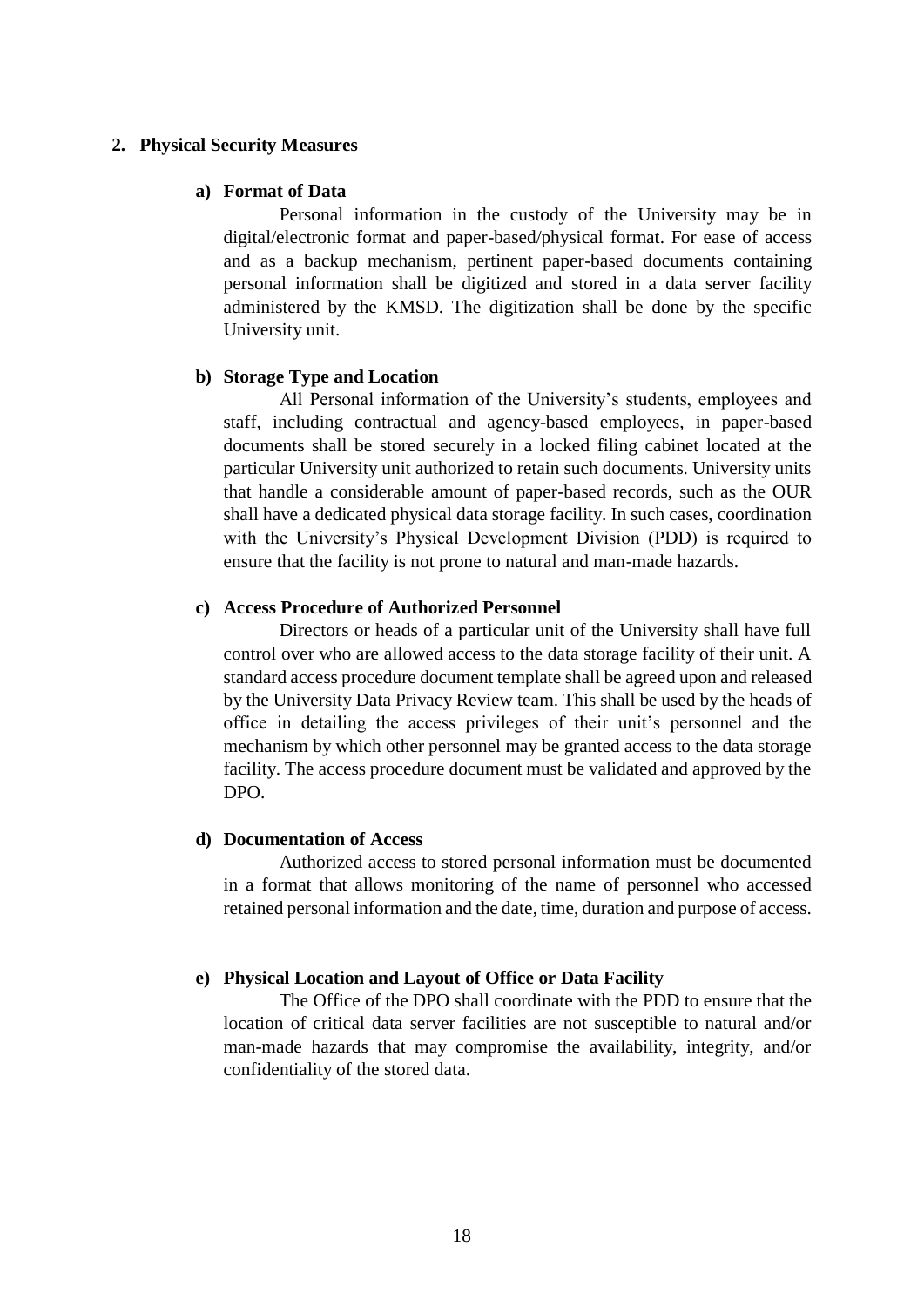## **2. Physical Security Measures**

#### **a) Format of Data**

Personal information in the custody of the University may be in digital/electronic format and paper-based/physical format. For ease of access and as a backup mechanism, pertinent paper-based documents containing personal information shall be digitized and stored in a data server facility administered by the KMSD. The digitization shall be done by the specific University unit.

#### **b) Storage Type and Location**

All Personal information of the University's students, employees and staff, including contractual and agency-based employees, in paper-based documents shall be stored securely in a locked filing cabinet located at the particular University unit authorized to retain such documents. University units that handle a considerable amount of paper-based records, such as the OUR shall have a dedicated physical data storage facility. In such cases, coordination with the University's Physical Development Division (PDD) is required to ensure that the facility is not prone to natural and man-made hazards.

## **c) Access Procedure of Authorized Personnel**

Directors or heads of a particular unit of the University shall have full control over who are allowed access to the data storage facility of their unit. A standard access procedure document template shall be agreed upon and released by the University Data Privacy Review team. This shall be used by the heads of office in detailing the access privileges of their unit's personnel and the mechanism by which other personnel may be granted access to the data storage facility. The access procedure document must be validated and approved by the DPO.

#### **d) Documentation of Access**

Authorized access to stored personal information must be documented in a format that allows monitoring of the name of personnel who accessed retained personal information and the date, time, duration and purpose of access.

## **e) Physical Location and Layout of Office or Data Facility**

The Office of the DPO shall coordinate with the PDD to ensure that the location of critical data server facilities are not susceptible to natural and/or man-made hazards that may compromise the availability, integrity, and/or confidentiality of the stored data.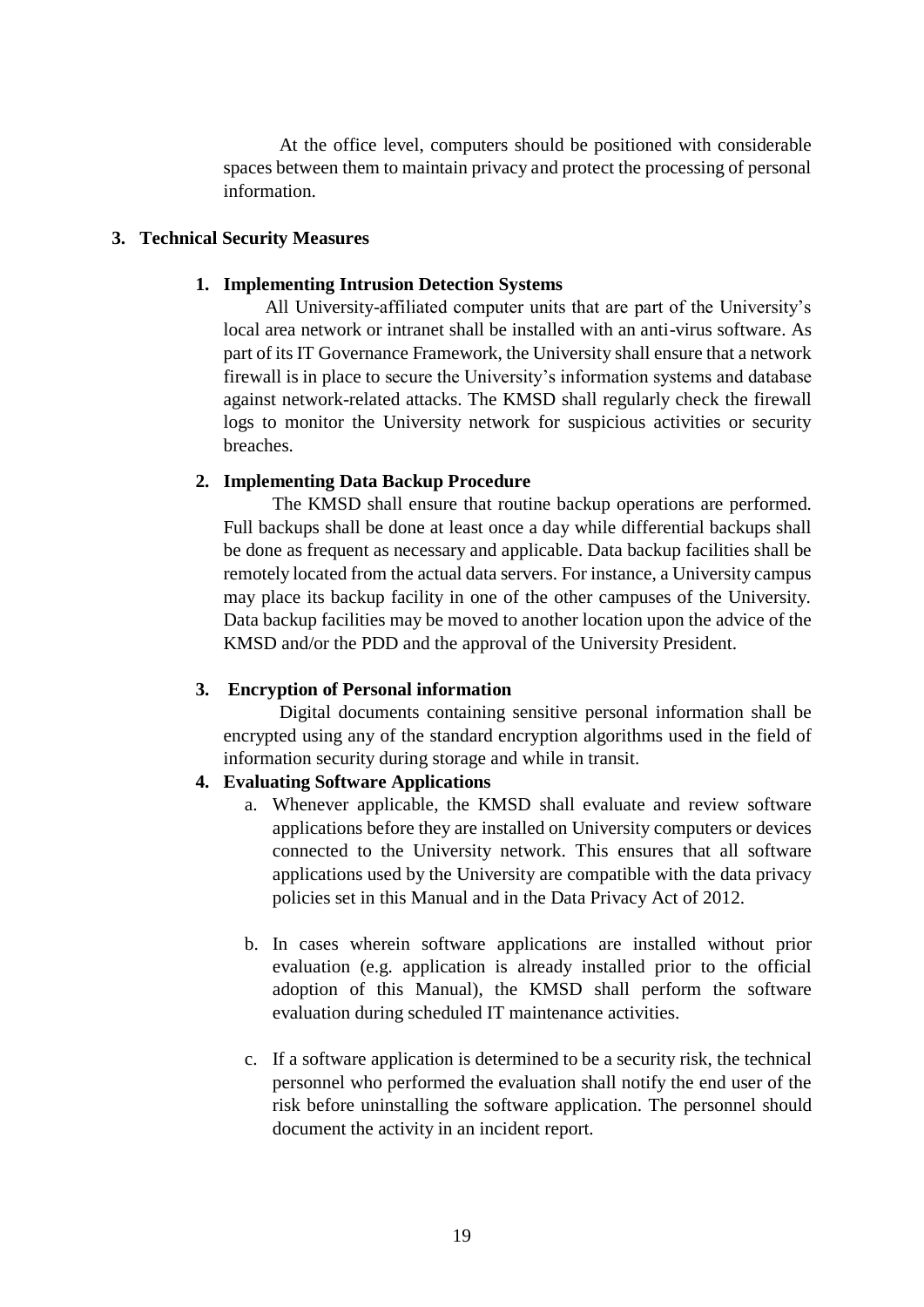At the office level, computers should be positioned with considerable spaces between them to maintain privacy and protect the processing of personal information.

## **3. Technical Security Measures**

## **1. Implementing Intrusion Detection Systems**

All University-affiliated computer units that are part of the University's local area network or intranet shall be installed with an anti-virus software. As part of its IT Governance Framework, the University shall ensure that a network firewall is in place to secure the University's information systems and database against network-related attacks. The KMSD shall regularly check the firewall logs to monitor the University network for suspicious activities or security breaches.

## **2. Implementing Data Backup Procedure**

The KMSD shall ensure that routine backup operations are performed. Full backups shall be done at least once a day while differential backups shall be done as frequent as necessary and applicable. Data backup facilities shall be remotely located from the actual data servers. For instance, a University campus may place its backup facility in one of the other campuses of the University. Data backup facilities may be moved to another location upon the advice of the KMSD and/or the PDD and the approval of the University President.

## **3. Encryption of Personal information**

Digital documents containing sensitive personal information shall be encrypted using any of the standard encryption algorithms used in the field of information security during storage and while in transit.

## **4. Evaluating Software Applications**

- a. Whenever applicable, the KMSD shall evaluate and review software applications before they are installed on University computers or devices connected to the University network. This ensures that all software applications used by the University are compatible with the data privacy policies set in this Manual and in the Data Privacy Act of 2012.
- b. In cases wherein software applications are installed without prior evaluation (e.g. application is already installed prior to the official adoption of this Manual), the KMSD shall perform the software evaluation during scheduled IT maintenance activities.
- c. If a software application is determined to be a security risk, the technical personnel who performed the evaluation shall notify the end user of the risk before uninstalling the software application. The personnel should document the activity in an incident report.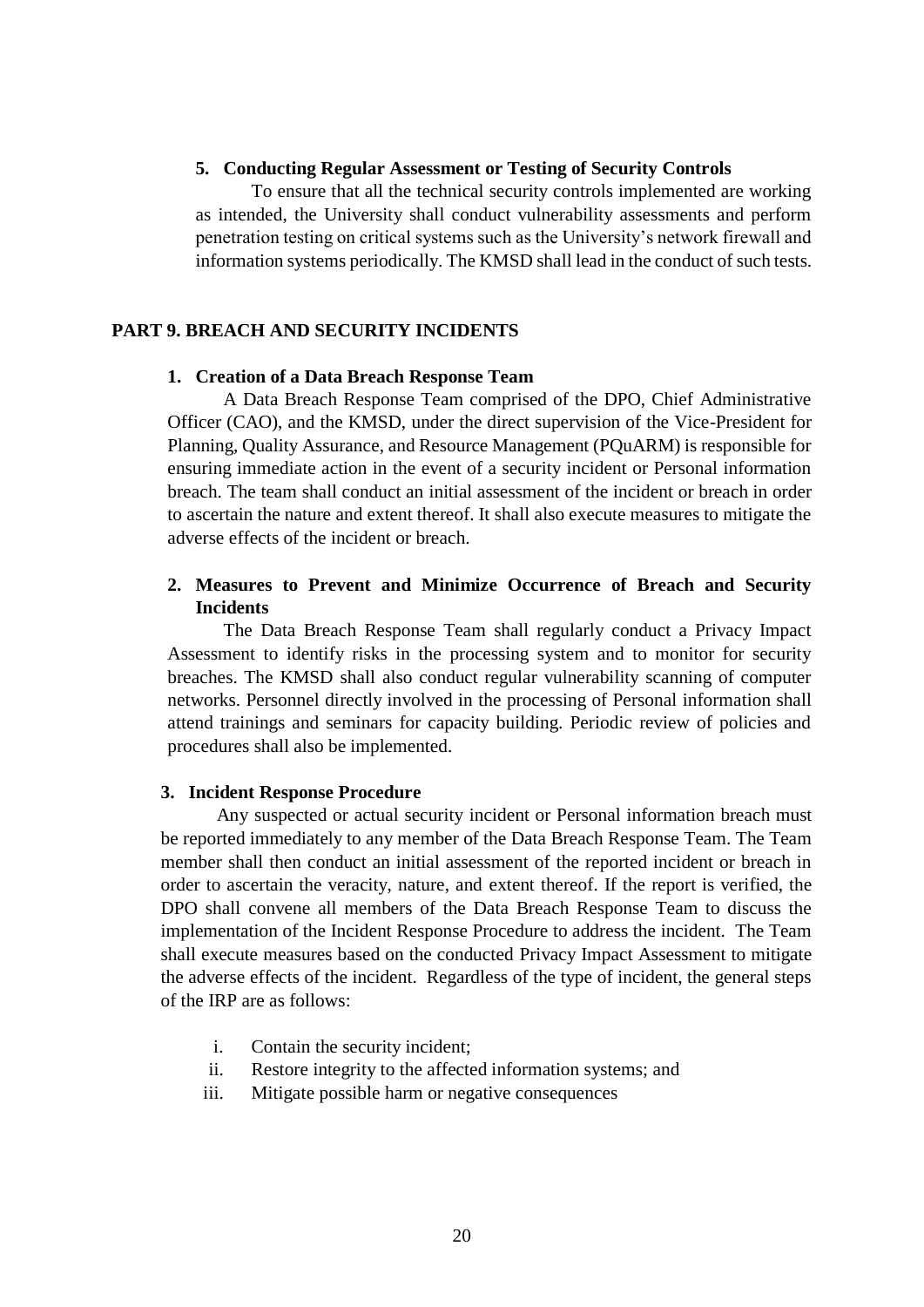## **5. Conducting Regular Assessment or Testing of Security Controls**

To ensure that all the technical security controls implemented are working as intended, the University shall conduct vulnerability assessments and perform penetration testing on critical systems such as the University's network firewall and information systems periodically. The KMSD shall lead in the conduct of such tests.

## **PART 9. BREACH AND SECURITY INCIDENTS**

#### **1. Creation of a Data Breach Response Team**

A Data Breach Response Team comprised of the DPO, Chief Administrative Officer (CAO), and the KMSD, under the direct supervision of the Vice-President for Planning, Quality Assurance, and Resource Management (PQuARM) is responsible for ensuring immediate action in the event of a security incident or Personal information breach. The team shall conduct an initial assessment of the incident or breach in order to ascertain the nature and extent thereof. It shall also execute measures to mitigate the adverse effects of the incident or breach.

## **2. Measures to Prevent and Minimize Occurrence of Breach and Security Incidents**

The Data Breach Response Team shall regularly conduct a Privacy Impact Assessment to identify risks in the processing system and to monitor for security breaches. The KMSD shall also conduct regular vulnerability scanning of computer networks. Personnel directly involved in the processing of Personal information shall attend trainings and seminars for capacity building. Periodic review of policies and procedures shall also be implemented.

#### **3. Incident Response Procedure**

Any suspected or actual security incident or Personal information breach must be reported immediately to any member of the Data Breach Response Team. The Team member shall then conduct an initial assessment of the reported incident or breach in order to ascertain the veracity, nature, and extent thereof. If the report is verified, the DPO shall convene all members of the Data Breach Response Team to discuss the implementation of the Incident Response Procedure to address the incident. The Team shall execute measures based on the conducted Privacy Impact Assessment to mitigate the adverse effects of the incident. Regardless of the type of incident, the general steps of the IRP are as follows:

- i. Contain the security incident;
- ii. Restore integrity to the affected information systems; and
- iii. Mitigate possible harm or negative consequences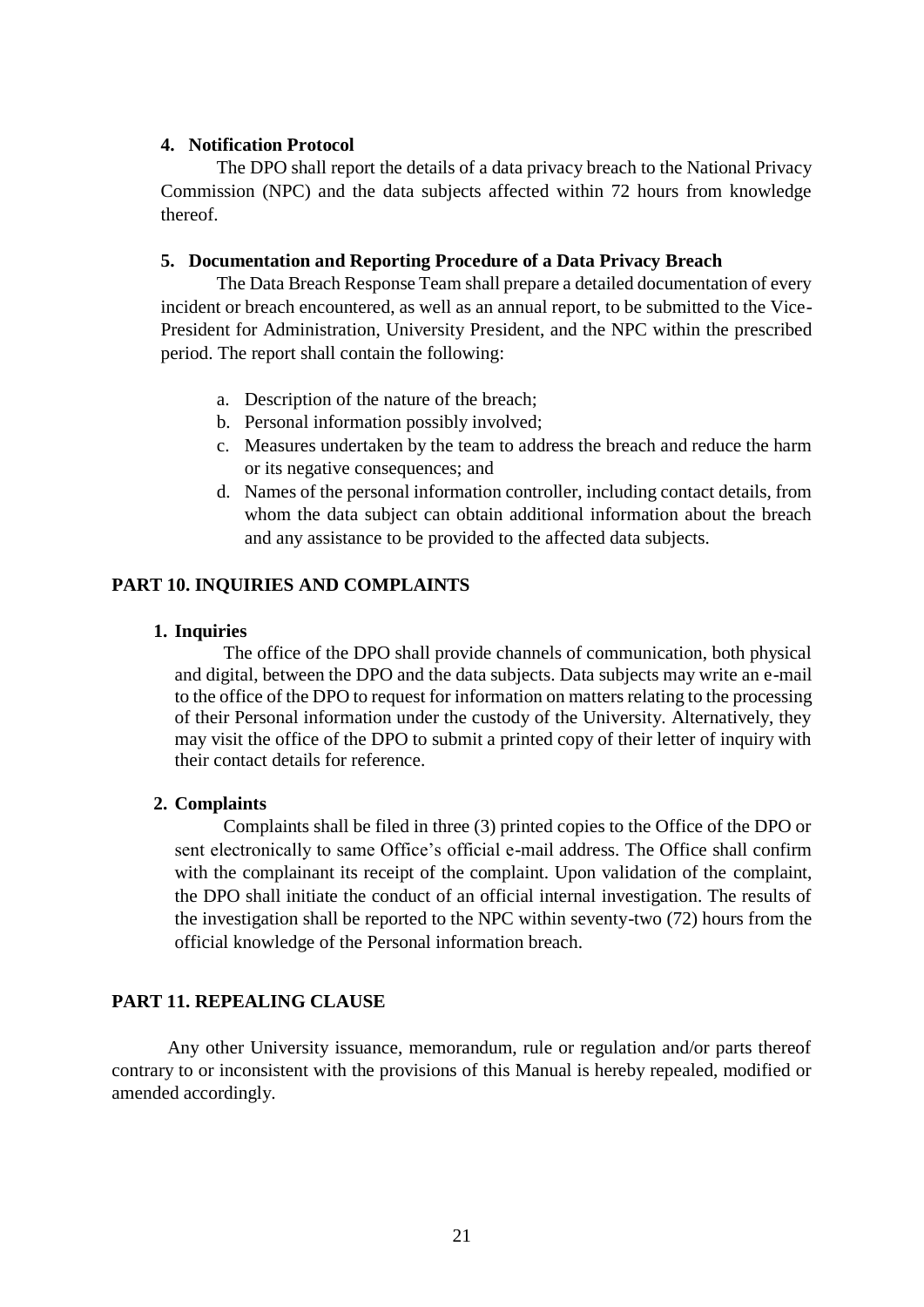## **4. Notification Protocol**

The DPO shall report the details of a data privacy breach to the National Privacy Commission (NPC) and the data subjects affected within 72 hours from knowledge thereof.

## **5. Documentation and Reporting Procedure of a Data Privacy Breach**

The Data Breach Response Team shall prepare a detailed documentation of every incident or breach encountered, as well as an annual report, to be submitted to the Vice-President for Administration, University President, and the NPC within the prescribed period. The report shall contain the following:

- a. Description of the nature of the breach;
- b. Personal information possibly involved;
- c. Measures undertaken by the team to address the breach and reduce the harm or its negative consequences; and
- d. Names of the personal information controller, including contact details, from whom the data subject can obtain additional information about the breach and any assistance to be provided to the affected data subjects.

## **PART 10. INQUIRIES AND COMPLAINTS**

## **1. Inquiries**

The office of the DPO shall provide channels of communication, both physical and digital, between the DPO and the data subjects. Data subjects may write an e-mail to the office of the DPO to request for information on matters relating to the processing of their Personal information under the custody of the University. Alternatively, they may visit the office of the DPO to submit a printed copy of their letter of inquiry with their contact details for reference.

## **2. Complaints**

Complaints shall be filed in three (3) printed copies to the Office of the DPO or sent electronically to same Office's official e-mail address. The Office shall confirm with the complainant its receipt of the complaint. Upon validation of the complaint, the DPO shall initiate the conduct of an official internal investigation. The results of the investigation shall be reported to the NPC within seventy-two (72) hours from the official knowledge of the Personal information breach.

## **PART 11. REPEALING CLAUSE**

Any other University issuance, memorandum, rule or regulation and/or parts thereof contrary to or inconsistent with the provisions of this Manual is hereby repealed, modified or amended accordingly.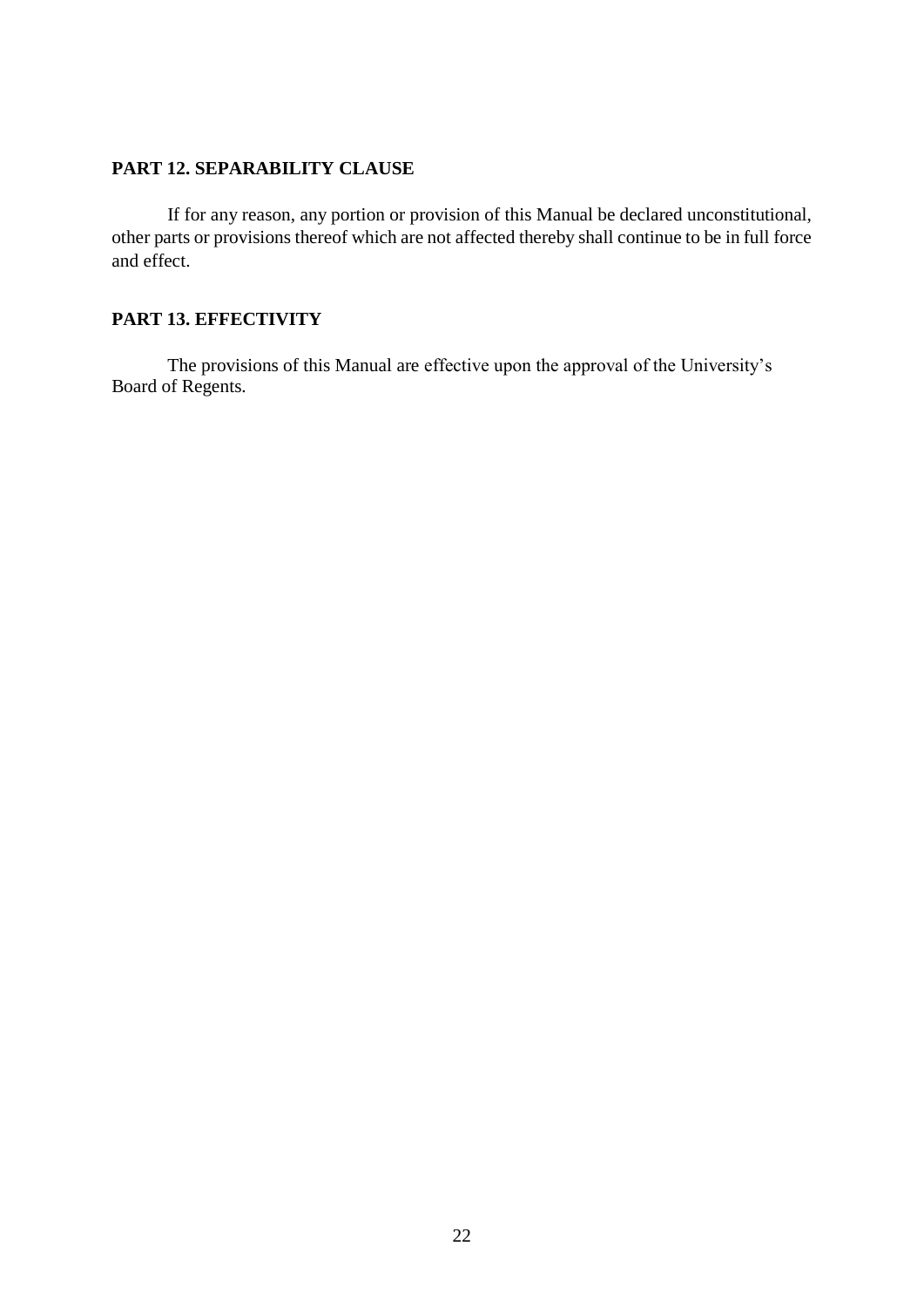## **PART 12. SEPARABILITY CLAUSE**

If for any reason, any portion or provision of this Manual be declared unconstitutional, other parts or provisions thereof which are not affected thereby shall continue to be in full force and effect.

## **PART 13. EFFECTIVITY**

The provisions of this Manual are effective upon the approval of the University's Board of Regents.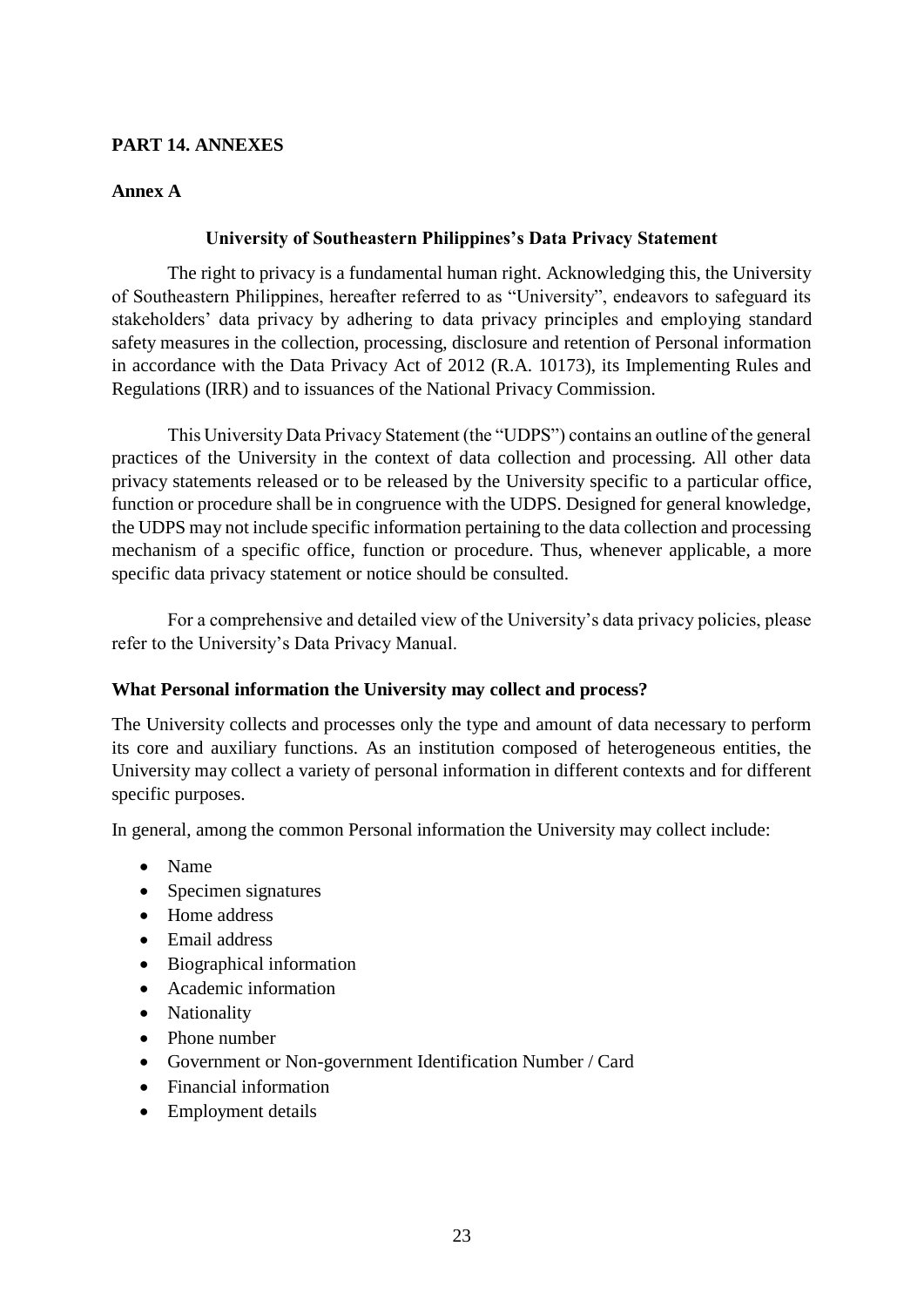## **PART 14. ANNEXES**

## **Annex A**

## **University of Southeastern Philippines's Data Privacy Statement**

The right to privacy is a fundamental human right. Acknowledging this, the University of Southeastern Philippines, hereafter referred to as "University", endeavors to safeguard its stakeholders' data privacy by adhering to data privacy principles and employing standard safety measures in the collection, processing, disclosure and retention of Personal information in accordance with the Data Privacy Act of 2012 (R.A. 10173), its Implementing Rules and Regulations (IRR) and to issuances of the National Privacy Commission.

This University Data Privacy Statement (the "UDPS") contains an outline of the general practices of the University in the context of data collection and processing. All other data privacy statements released or to be released by the University specific to a particular office, function or procedure shall be in congruence with the UDPS. Designed for general knowledge, the UDPS may not include specific information pertaining to the data collection and processing mechanism of a specific office, function or procedure. Thus, whenever applicable, a more specific data privacy statement or notice should be consulted.

For a comprehensive and detailed view of the University's data privacy policies, please refer to the University's Data Privacy Manual.

## **What Personal information the University may collect and process?**

The University collects and processes only the type and amount of data necessary to perform its core and auxiliary functions. As an institution composed of heterogeneous entities, the University may collect a variety of personal information in different contexts and for different specific purposes.

In general, among the common Personal information the University may collect include:

- Name
- Specimen signatures
- Home address
- Email address
- Biographical information
- Academic information
- Nationality
- Phone number
- Government or Non-government Identification Number / Card
- Financial information
- Employment details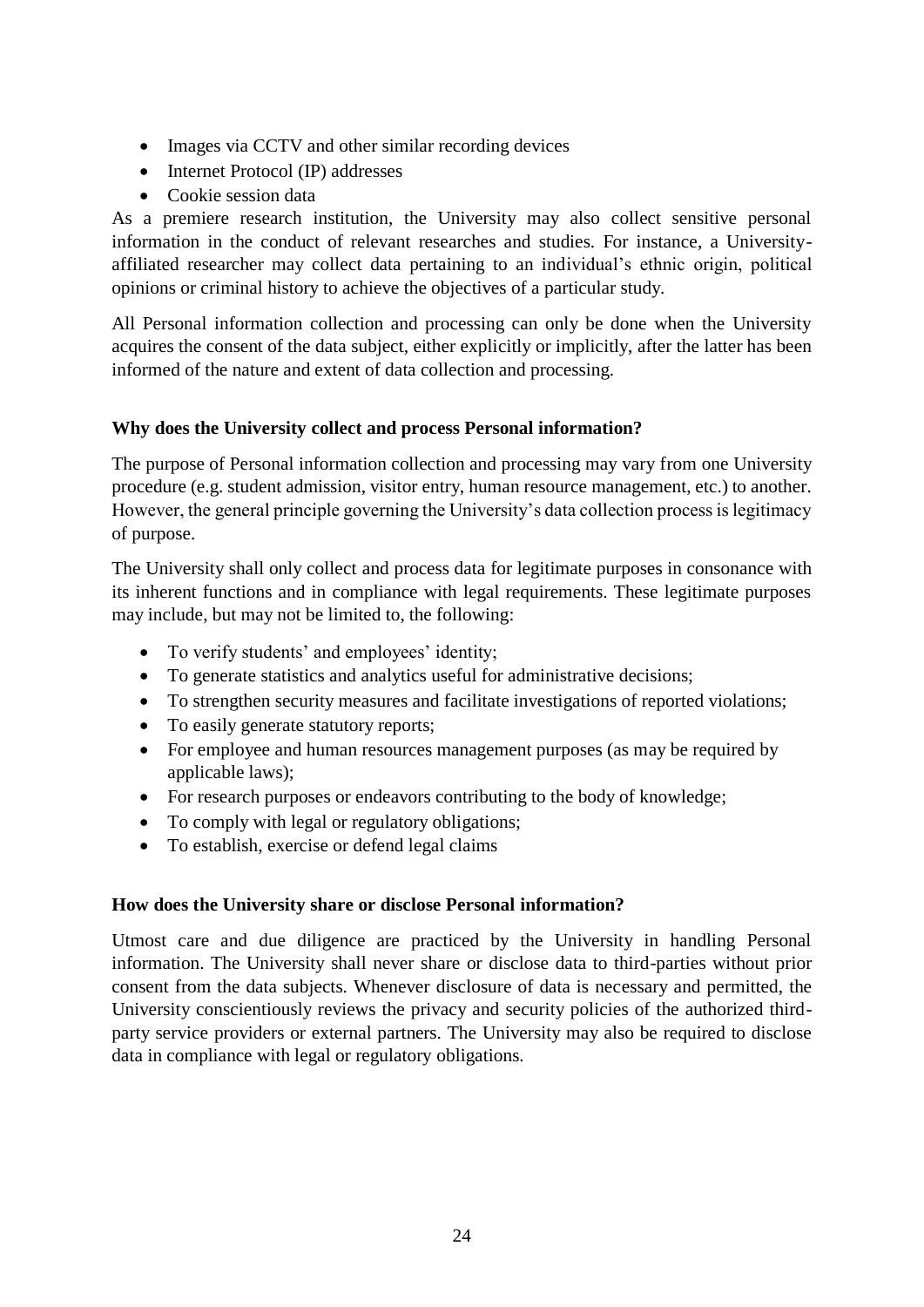- Images via CCTV and other similar recording devices
- Internet Protocol (IP) addresses
- Cookie session data

As a premiere research institution, the University may also collect sensitive personal information in the conduct of relevant researches and studies. For instance, a Universityaffiliated researcher may collect data pertaining to an individual's ethnic origin, political opinions or criminal history to achieve the objectives of a particular study.

All Personal information collection and processing can only be done when the University acquires the consent of the data subject, either explicitly or implicitly, after the latter has been informed of the nature and extent of data collection and processing.

# **Why does the University collect and process Personal information?**

The purpose of Personal information collection and processing may vary from one University procedure (e.g. student admission, visitor entry, human resource management, etc.) to another. However, the general principle governing the University's data collection process is legitimacy of purpose.

The University shall only collect and process data for legitimate purposes in consonance with its inherent functions and in compliance with legal requirements. These legitimate purposes may include, but may not be limited to, the following:

- To verify students' and employees' identity;
- To generate statistics and analytics useful for administrative decisions;
- To strengthen security measures and facilitate investigations of reported violations;
- To easily generate statutory reports;
- For employee and human resources management purposes (as may be required by applicable laws);
- For research purposes or endeavors contributing to the body of knowledge;
- To comply with legal or regulatory obligations;
- To establish, exercise or defend legal claims

## **How does the University share or disclose Personal information?**

Utmost care and due diligence are practiced by the University in handling Personal information. The University shall never share or disclose data to third-parties without prior consent from the data subjects. Whenever disclosure of data is necessary and permitted, the University conscientiously reviews the privacy and security policies of the authorized thirdparty service providers or external partners. The University may also be required to disclose data in compliance with legal or regulatory obligations.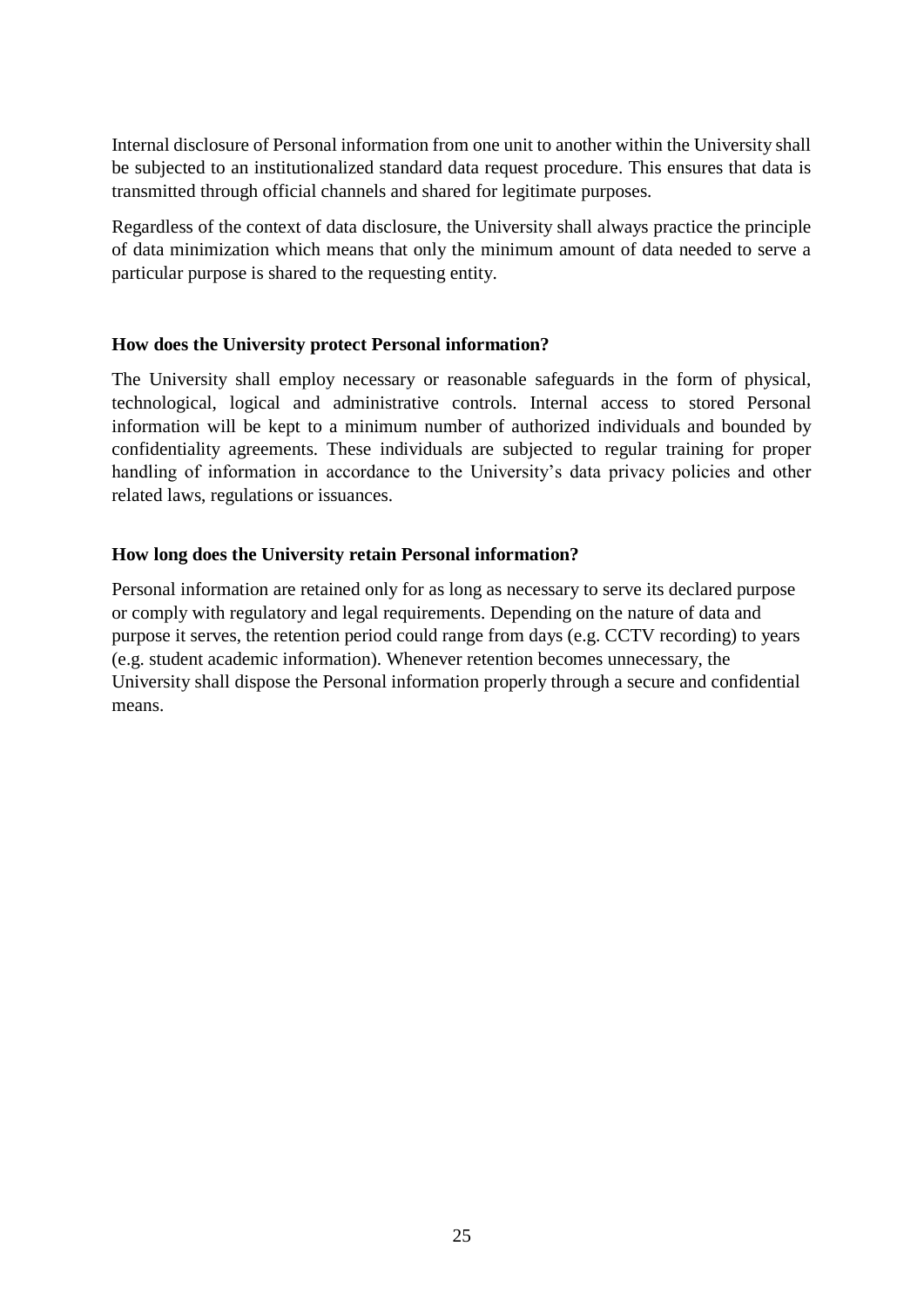Internal disclosure of Personal information from one unit to another within the University shall be subjected to an institutionalized standard data request procedure. This ensures that data is transmitted through official channels and shared for legitimate purposes.

Regardless of the context of data disclosure, the University shall always practice the principle of data minimization which means that only the minimum amount of data needed to serve a particular purpose is shared to the requesting entity.

## **How does the University protect Personal information?**

The University shall employ necessary or reasonable safeguards in the form of physical, technological, logical and administrative controls. Internal access to stored Personal information will be kept to a minimum number of authorized individuals and bounded by confidentiality agreements. These individuals are subjected to regular training for proper handling of information in accordance to the University's data privacy policies and other related laws, regulations or issuances.

## **How long does the University retain Personal information?**

Personal information are retained only for as long as necessary to serve its declared purpose or comply with regulatory and legal requirements. Depending on the nature of data and purpose it serves, the retention period could range from days (e.g. CCTV recording) to years (e.g. student academic information). Whenever retention becomes unnecessary, the University shall dispose the Personal information properly through a secure and confidential means.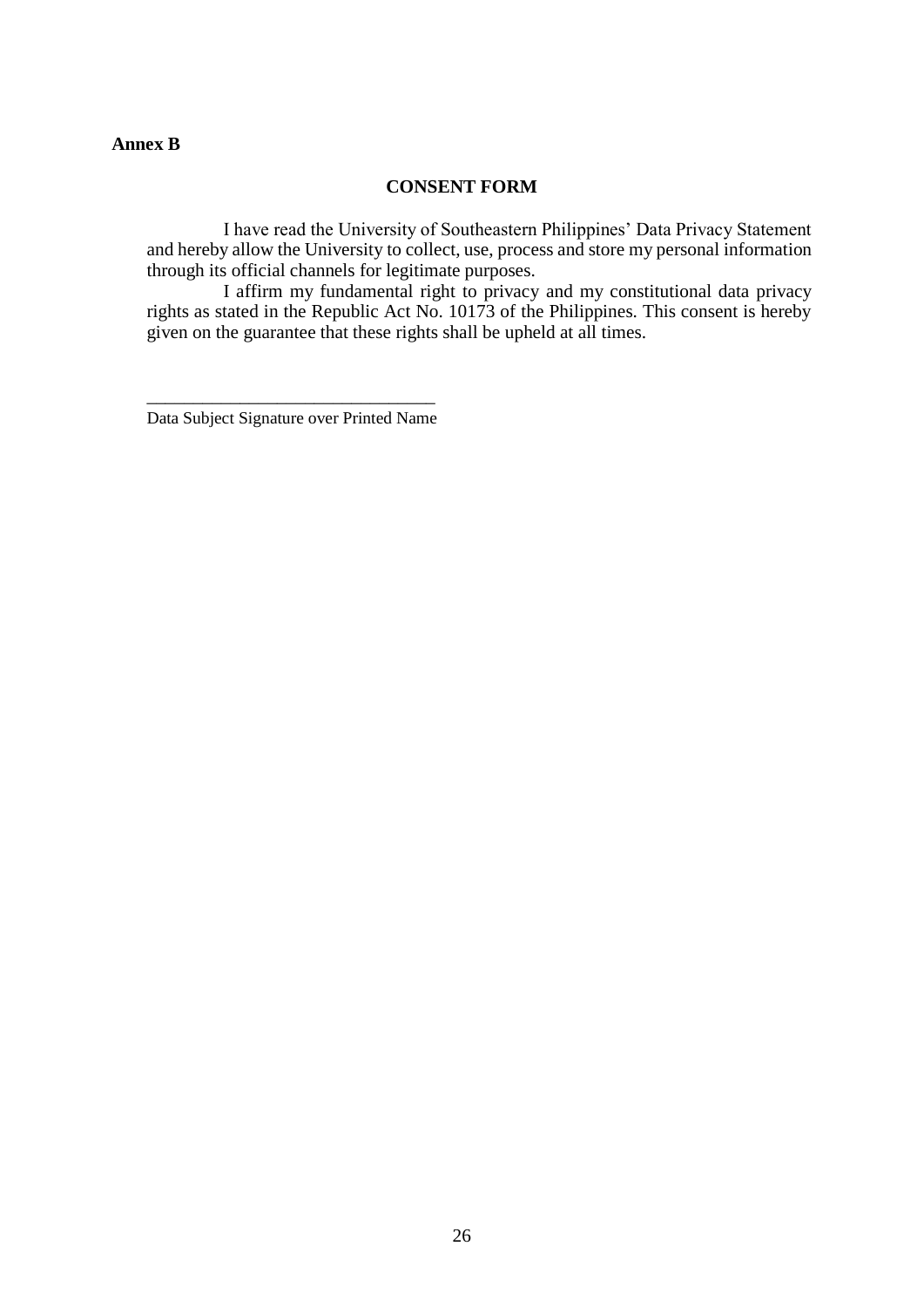## **Annex B**

## **CONSENT FORM**

I have read the University of Southeastern Philippines' Data Privacy Statement and hereby allow the University to collect, use, process and store my personal information through its official channels for legitimate purposes.

I affirm my fundamental right to privacy and my constitutional data privacy rights as stated in the Republic Act No. 10173 of the Philippines. This consent is hereby given on the guarantee that these rights shall be upheld at all times.

\_\_\_\_\_\_\_\_\_\_\_\_\_\_\_\_\_\_\_\_\_\_\_\_\_\_\_\_\_\_\_ Data Subject Signature over Printed Name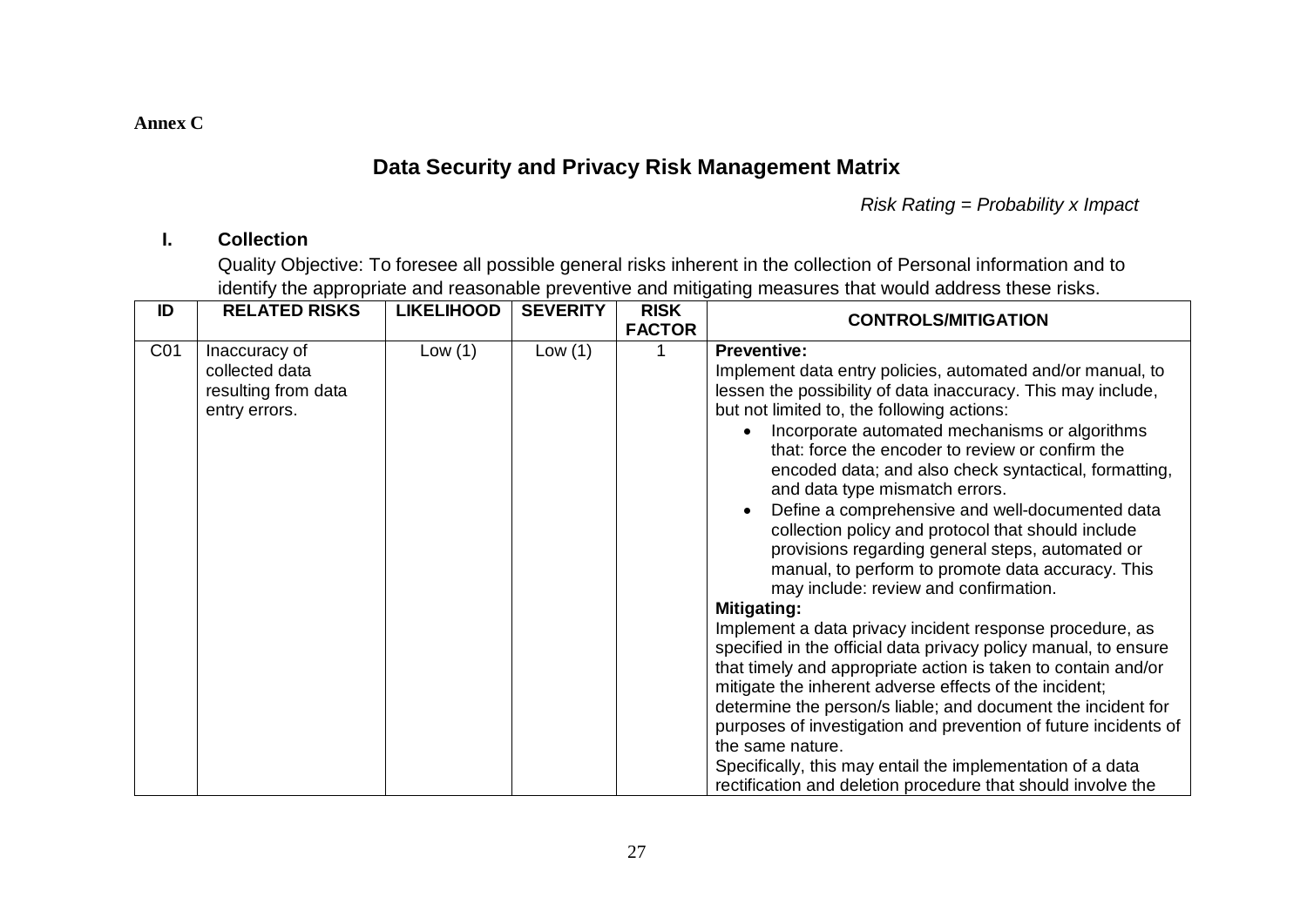**Annex C**

# **Data Security and Privacy Risk Management Matrix**

*Risk Rating = Probability x Impact*

# **I. Collection**

Quality Objective: To foresee all possible general risks inherent in the collection of Personal information and to identify the appropriate and reasonable preventive and mitigating measures that would address these risks.

| ID              | <b>RELATED RISKS</b>                                                    | <b>LIKELIHOOD</b> | <b>SEVERITY</b> | <b>RISK</b><br><b>FACTOR</b> | <b>CONTROLS/MITIGATION</b>                                                                                                                                                                                                                                                                                                                                                                                                                                                                                                                                                                                                                                                                                                                                                                                                                                                                                                                                                                                                                                                                                                                                                                                                                                |
|-----------------|-------------------------------------------------------------------------|-------------------|-----------------|------------------------------|-----------------------------------------------------------------------------------------------------------------------------------------------------------------------------------------------------------------------------------------------------------------------------------------------------------------------------------------------------------------------------------------------------------------------------------------------------------------------------------------------------------------------------------------------------------------------------------------------------------------------------------------------------------------------------------------------------------------------------------------------------------------------------------------------------------------------------------------------------------------------------------------------------------------------------------------------------------------------------------------------------------------------------------------------------------------------------------------------------------------------------------------------------------------------------------------------------------------------------------------------------------|
| CO <sub>1</sub> | Inaccuracy of<br>collected data<br>resulting from data<br>entry errors. | Low(1)            | Low(1)          |                              | <b>Preventive:</b><br>Implement data entry policies, automated and/or manual, to<br>lessen the possibility of data inaccuracy. This may include,<br>but not limited to, the following actions:<br>Incorporate automated mechanisms or algorithms<br>$\bullet$<br>that: force the encoder to review or confirm the<br>encoded data; and also check syntactical, formatting,<br>and data type mismatch errors.<br>Define a comprehensive and well-documented data<br>$\bullet$<br>collection policy and protocol that should include<br>provisions regarding general steps, automated or<br>manual, to perform to promote data accuracy. This<br>may include: review and confirmation.<br><b>Mitigating:</b><br>Implement a data privacy incident response procedure, as<br>specified in the official data privacy policy manual, to ensure<br>that timely and appropriate action is taken to contain and/or<br>mitigate the inherent adverse effects of the incident;<br>determine the person/s liable; and document the incident for<br>purposes of investigation and prevention of future incidents of<br>the same nature.<br>Specifically, this may entail the implementation of a data<br>rectification and deletion procedure that should involve the |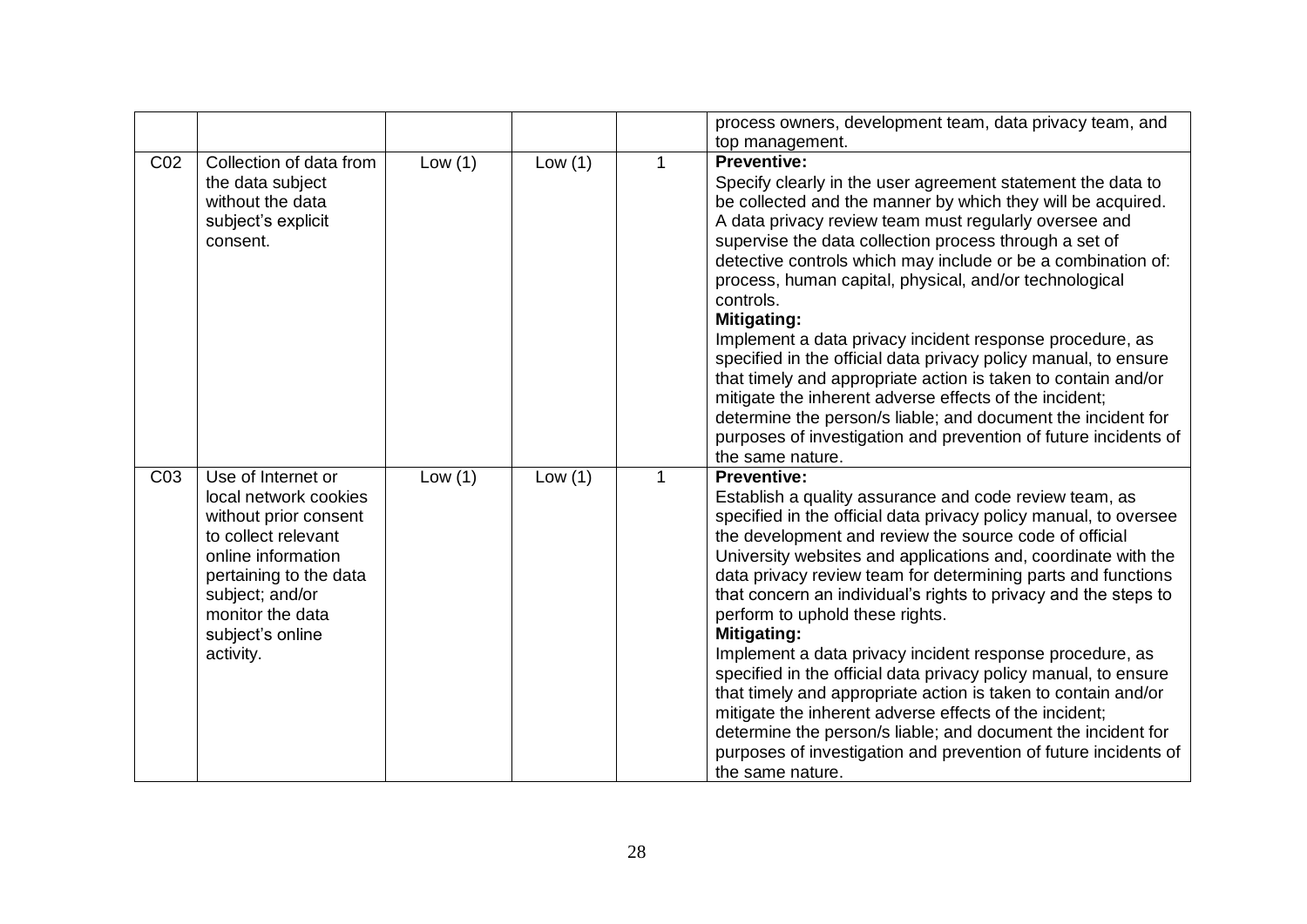|                 |                                                                                                                                                                                                                     |           |           |              | process owners, development team, data privacy team, and                                                                                                                                                                                                                                                                                                                                                                                                                                                                                                                                                                                                                                                                                                                                                                                                                                 |
|-----------------|---------------------------------------------------------------------------------------------------------------------------------------------------------------------------------------------------------------------|-----------|-----------|--------------|------------------------------------------------------------------------------------------------------------------------------------------------------------------------------------------------------------------------------------------------------------------------------------------------------------------------------------------------------------------------------------------------------------------------------------------------------------------------------------------------------------------------------------------------------------------------------------------------------------------------------------------------------------------------------------------------------------------------------------------------------------------------------------------------------------------------------------------------------------------------------------------|
|                 |                                                                                                                                                                                                                     |           |           |              | top management.                                                                                                                                                                                                                                                                                                                                                                                                                                                                                                                                                                                                                                                                                                                                                                                                                                                                          |
| C <sub>02</sub> | Collection of data from<br>the data subject<br>without the data<br>subject's explicit<br>consent.                                                                                                                   | Low $(1)$ | Low $(1)$ | 1            | <b>Preventive:</b><br>Specify clearly in the user agreement statement the data to<br>be collected and the manner by which they will be acquired.<br>A data privacy review team must regularly oversee and<br>supervise the data collection process through a set of<br>detective controls which may include or be a combination of:<br>process, human capital, physical, and/or technological<br>controls.<br><b>Mitigating:</b><br>Implement a data privacy incident response procedure, as<br>specified in the official data privacy policy manual, to ensure<br>that timely and appropriate action is taken to contain and/or<br>mitigate the inherent adverse effects of the incident;<br>determine the person/s liable; and document the incident for<br>purposes of investigation and prevention of future incidents of<br>the same nature.                                        |
| C <sub>03</sub> | Use of Internet or<br>local network cookies<br>without prior consent<br>to collect relevant<br>online information<br>pertaining to the data<br>subject; and/or<br>monitor the data<br>subject's online<br>activity. | Low $(1)$ | Low $(1)$ | $\mathbf{1}$ | <b>Preventive:</b><br>Establish a quality assurance and code review team, as<br>specified in the official data privacy policy manual, to oversee<br>the development and review the source code of official<br>University websites and applications and, coordinate with the<br>data privacy review team for determining parts and functions<br>that concern an individual's rights to privacy and the steps to<br>perform to uphold these rights.<br><b>Mitigating:</b><br>Implement a data privacy incident response procedure, as<br>specified in the official data privacy policy manual, to ensure<br>that timely and appropriate action is taken to contain and/or<br>mitigate the inherent adverse effects of the incident;<br>determine the person/s liable; and document the incident for<br>purposes of investigation and prevention of future incidents of<br>the same nature. |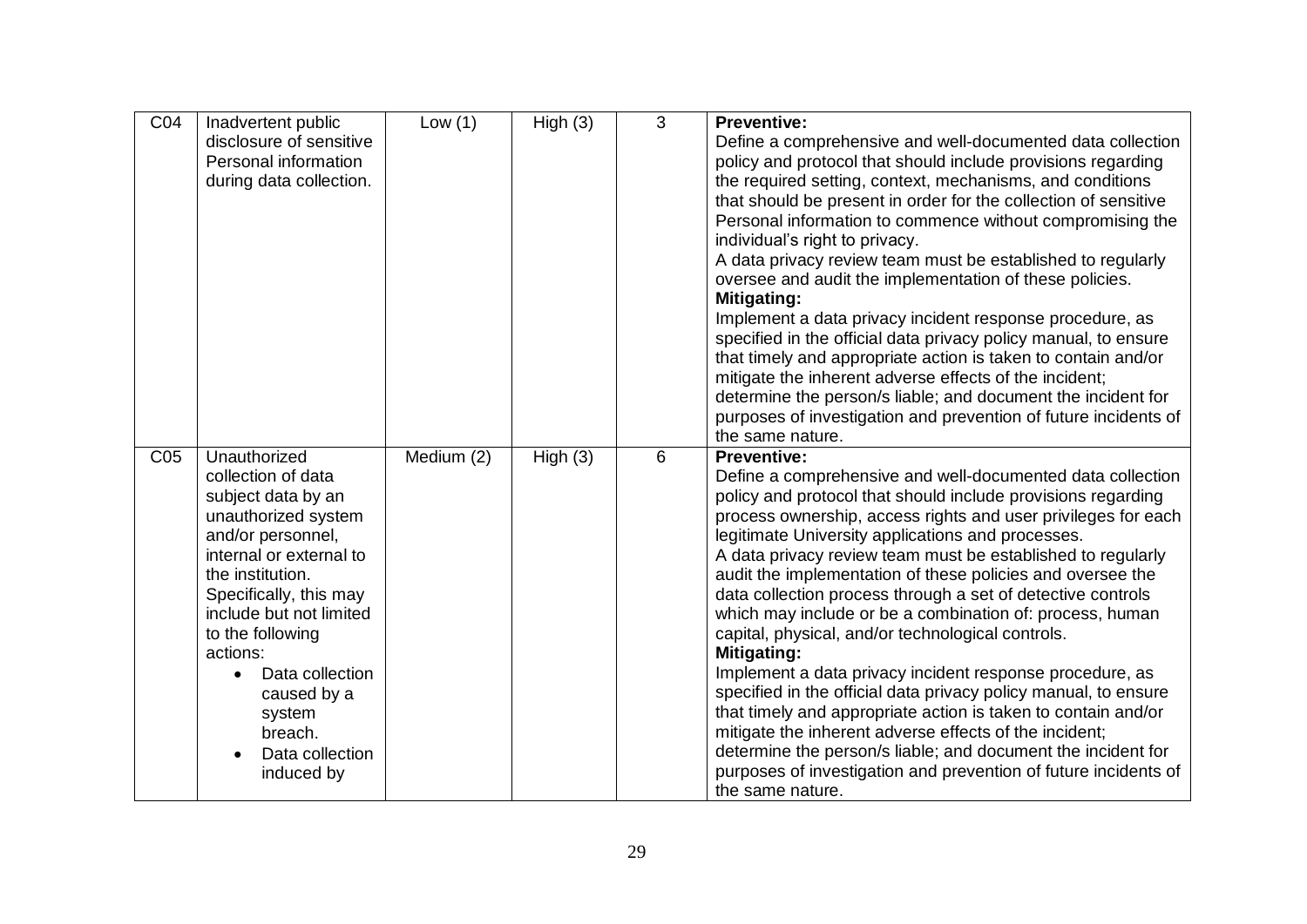| CO <sub>4</sub> | Inadvertent public           | Low $(1)$  | High(3) | 3 | <b>Preventive:</b>                                              |
|-----------------|------------------------------|------------|---------|---|-----------------------------------------------------------------|
|                 | disclosure of sensitive      |            |         |   | Define a comprehensive and well-documented data collection      |
|                 | Personal information         |            |         |   | policy and protocol that should include provisions regarding    |
|                 | during data collection.      |            |         |   | the required setting, context, mechanisms, and conditions       |
|                 |                              |            |         |   | that should be present in order for the collection of sensitive |
|                 |                              |            |         |   | Personal information to commence without compromising the       |
|                 |                              |            |         |   | individual's right to privacy.                                  |
|                 |                              |            |         |   | A data privacy review team must be established to regularly     |
|                 |                              |            |         |   | oversee and audit the implementation of these policies.         |
|                 |                              |            |         |   | <b>Mitigating:</b>                                              |
|                 |                              |            |         |   | Implement a data privacy incident response procedure, as        |
|                 |                              |            |         |   | specified in the official data privacy policy manual, to ensure |
|                 |                              |            |         |   | that timely and appropriate action is taken to contain and/or   |
|                 |                              |            |         |   | mitigate the inherent adverse effects of the incident;          |
|                 |                              |            |         |   | determine the person/s liable; and document the incident for    |
|                 |                              |            |         |   | purposes of investigation and prevention of future incidents of |
|                 |                              |            |         |   | the same nature.                                                |
| CO <sub>5</sub> | Unauthorized                 | Medium (2) | High(3) | 6 | <b>Preventive:</b>                                              |
|                 | collection of data           |            |         |   | Define a comprehensive and well-documented data collection      |
|                 | subject data by an           |            |         |   | policy and protocol that should include provisions regarding    |
|                 | unauthorized system          |            |         |   | process ownership, access rights and user privileges for each   |
|                 | and/or personnel,            |            |         |   | legitimate University applications and processes.               |
|                 | internal or external to      |            |         |   | A data privacy review team must be established to regularly     |
|                 | the institution.             |            |         |   | audit the implementation of these policies and oversee the      |
|                 | Specifically, this may       |            |         |   | data collection process through a set of detective controls     |
|                 | include but not limited      |            |         |   | which may include or be a combination of: process, human        |
|                 | to the following             |            |         |   | capital, physical, and/or technological controls.               |
|                 | actions:                     |            |         |   | <b>Mitigating:</b>                                              |
|                 | Data collection<br>$\bullet$ |            |         |   | Implement a data privacy incident response procedure, as        |
|                 | caused by a                  |            |         |   | specified in the official data privacy policy manual, to ensure |
|                 | system                       |            |         |   | that timely and appropriate action is taken to contain and/or   |
|                 | breach.                      |            |         |   | mitigate the inherent adverse effects of the incident;          |
|                 | Data collection<br>$\bullet$ |            |         |   | determine the person/s liable; and document the incident for    |
|                 | induced by                   |            |         |   | purposes of investigation and prevention of future incidents of |
|                 |                              |            |         |   | the same nature.                                                |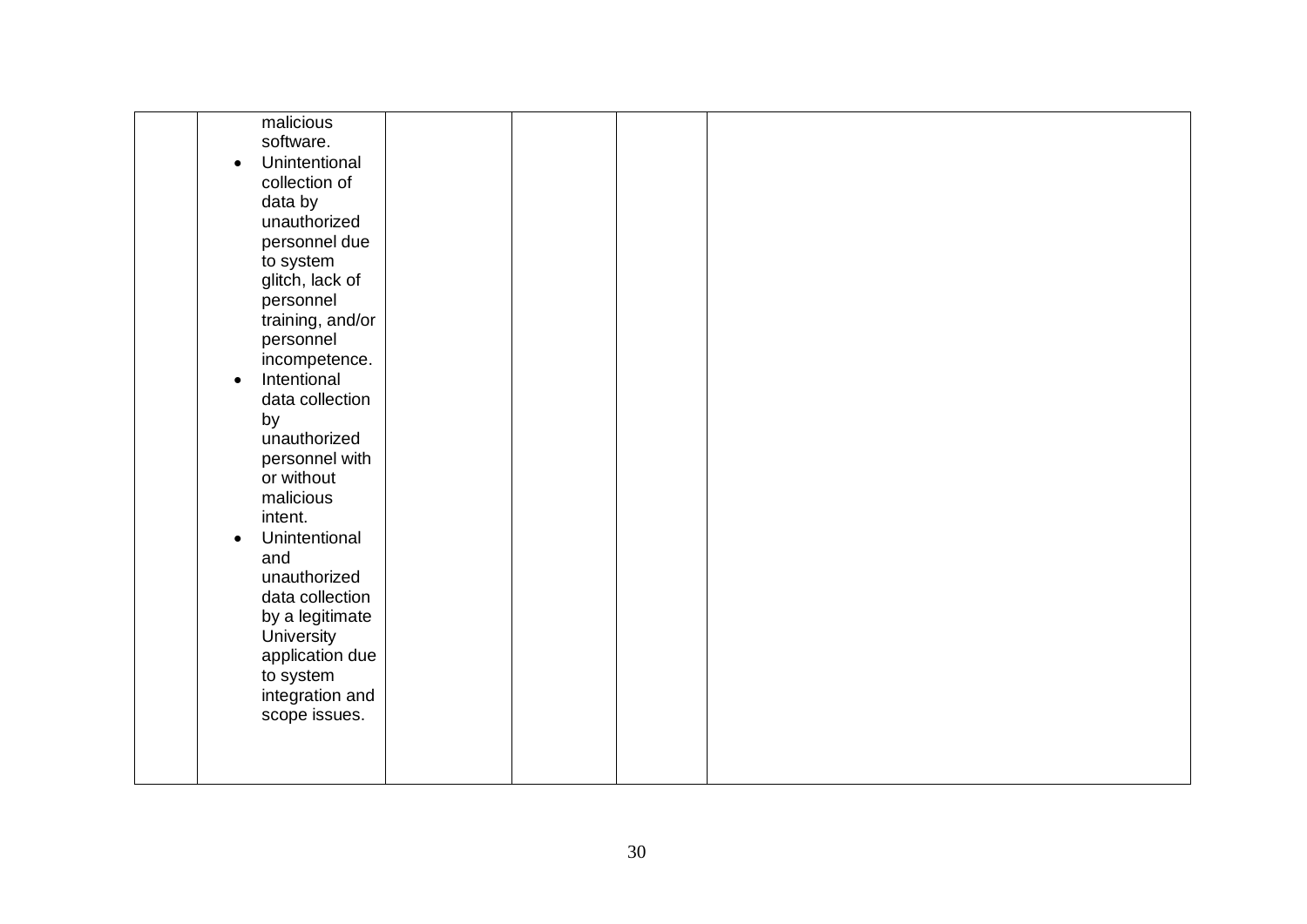| malicious<br>software.<br>Unintentional<br>$\bullet$<br>collection of<br>data by<br>unauthorized<br>personnel due<br>to system<br>glitch, lack of<br>personnel<br>training, and/or<br>personnel<br>incompetence.<br>Intentional<br>$\bullet$<br>data collection<br>by<br>unauthorized<br>personnel with<br>or without<br>malicious<br>intent.<br>Unintentional<br>$\bullet$<br>and<br>unauthorized<br>data collection<br>by a legitimate<br>University<br>application due |  |  |  |  |
|---------------------------------------------------------------------------------------------------------------------------------------------------------------------------------------------------------------------------------------------------------------------------------------------------------------------------------------------------------------------------------------------------------------------------------------------------------------------------|--|--|--|--|
| to system<br>integration and                                                                                                                                                                                                                                                                                                                                                                                                                                              |  |  |  |  |
| scope issues.                                                                                                                                                                                                                                                                                                                                                                                                                                                             |  |  |  |  |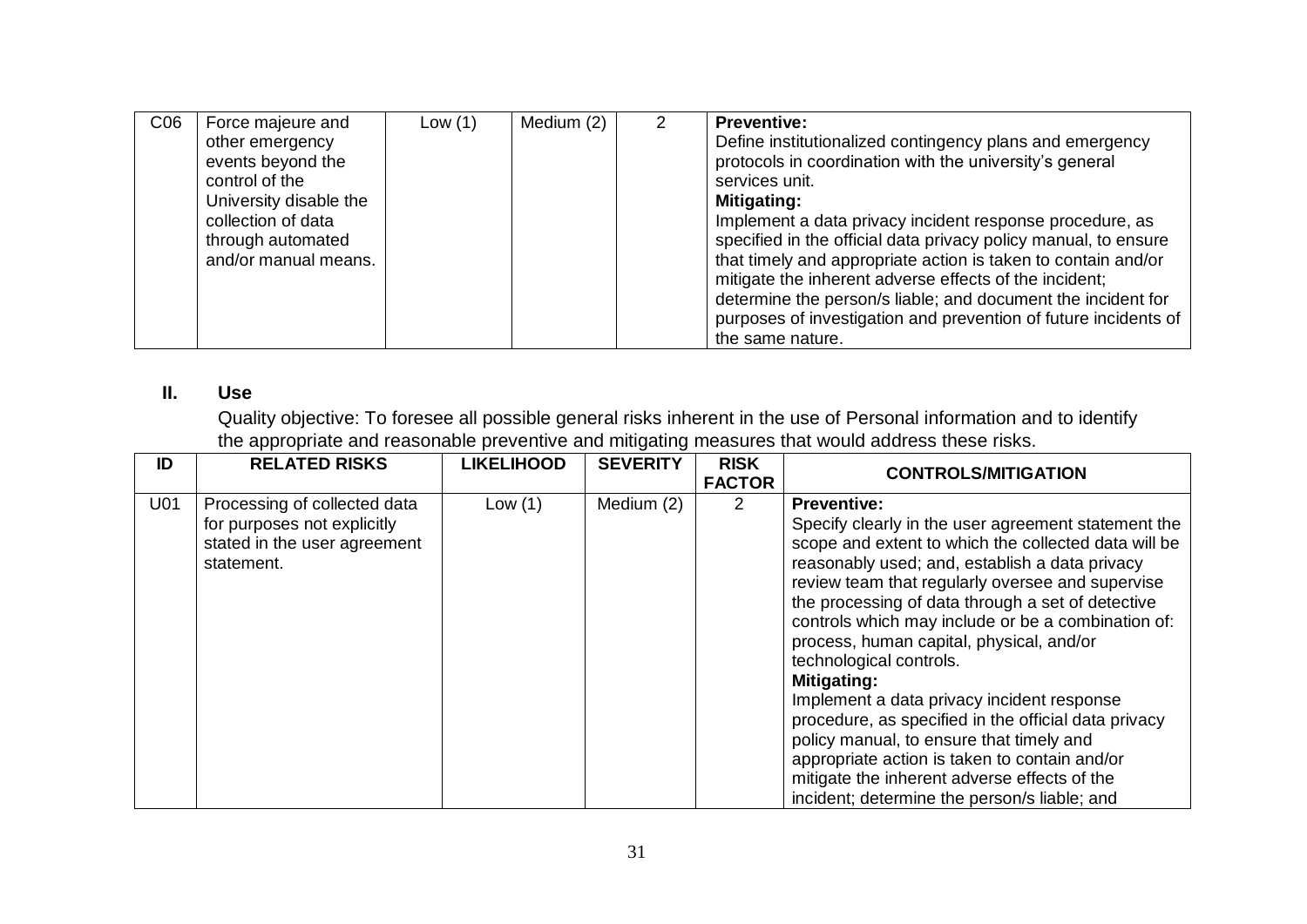| CO6 | Force majeure and<br>other emergency | Low $(1)$ | Medium (2) | <b>Preventive:</b><br>Define institutionalized contingency plans and emergency |
|-----|--------------------------------------|-----------|------------|--------------------------------------------------------------------------------|
|     | events beyond the                    |           |            | protocols in coordination with the university's general                        |
|     | control of the                       |           |            | services unit.                                                                 |
|     | University disable the               |           |            | Mitigating:                                                                    |
|     | collection of data                   |           |            | Implement a data privacy incident response procedure, as                       |
|     | through automated                    |           |            | specified in the official data privacy policy manual, to ensure                |
|     | and/or manual means.                 |           |            | that timely and appropriate action is taken to contain and/or                  |
|     |                                      |           |            | mitigate the inherent adverse effects of the incident;                         |
|     |                                      |           |            | determine the person/s liable; and document the incident for                   |
|     |                                      |           |            | purposes of investigation and prevention of future incidents of                |
|     |                                      |           |            | the same nature.                                                               |

# **II. Use**

Quality objective: To foresee all possible general risks inherent in the use of Personal information and to identify the appropriate and reasonable preventive and mitigating measures that would address these risks.

| ID              | <b>RELATED RISKS</b>                                                                                      | <b>LIKELIHOOD</b> | <b>SEVERITY</b> | <b>RISK</b><br><b>FACTOR</b> | <b>CONTROLS/MITIGATION</b>                                                                                                                                                                                                                                                                                                                                                                                                                                                                                                                                                                                                                                                                                                                         |
|-----------------|-----------------------------------------------------------------------------------------------------------|-------------------|-----------------|------------------------------|----------------------------------------------------------------------------------------------------------------------------------------------------------------------------------------------------------------------------------------------------------------------------------------------------------------------------------------------------------------------------------------------------------------------------------------------------------------------------------------------------------------------------------------------------------------------------------------------------------------------------------------------------------------------------------------------------------------------------------------------------|
| U <sub>01</sub> | Processing of collected data<br>for purposes not explicitly<br>stated in the user agreement<br>statement. | Low $(1)$         | Medium (2)      | $\mathcal{P}$                | <b>Preventive:</b><br>Specify clearly in the user agreement statement the<br>scope and extent to which the collected data will be<br>reasonably used; and, establish a data privacy<br>review team that regularly oversee and supervise<br>the processing of data through a set of detective<br>controls which may include or be a combination of:<br>process, human capital, physical, and/or<br>technological controls.<br><b>Mitigating:</b><br>Implement a data privacy incident response<br>procedure, as specified in the official data privacy<br>policy manual, to ensure that timely and<br>appropriate action is taken to contain and/or<br>mitigate the inherent adverse effects of the<br>incident; determine the person/s liable; and |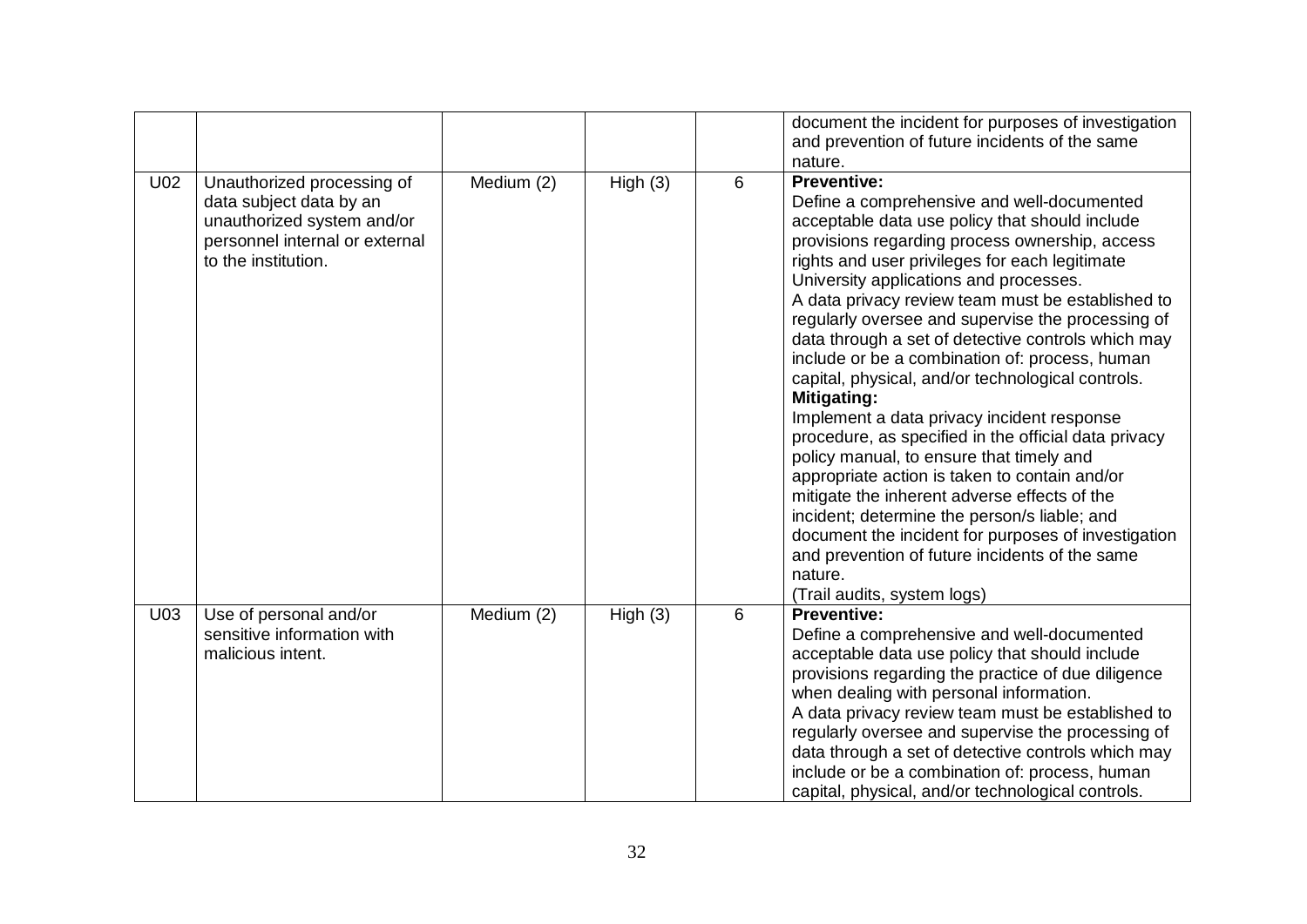|     |                                                                                                                                              |            |         |   | document the incident for purposes of investigation<br>and prevention of future incidents of the same<br>nature.                                                                                                                                                                                                                                                                                                                                                                                                                                                                                                                                                                                                                                                                                                                                                                                                                                                                                                    |
|-----|----------------------------------------------------------------------------------------------------------------------------------------------|------------|---------|---|---------------------------------------------------------------------------------------------------------------------------------------------------------------------------------------------------------------------------------------------------------------------------------------------------------------------------------------------------------------------------------------------------------------------------------------------------------------------------------------------------------------------------------------------------------------------------------------------------------------------------------------------------------------------------------------------------------------------------------------------------------------------------------------------------------------------------------------------------------------------------------------------------------------------------------------------------------------------------------------------------------------------|
| U02 | Unauthorized processing of<br>data subject data by an<br>unauthorized system and/or<br>personnel internal or external<br>to the institution. | Medium (2) | High(3) | 6 | <b>Preventive:</b><br>Define a comprehensive and well-documented<br>acceptable data use policy that should include<br>provisions regarding process ownership, access<br>rights and user privileges for each legitimate<br>University applications and processes.<br>A data privacy review team must be established to<br>regularly oversee and supervise the processing of<br>data through a set of detective controls which may<br>include or be a combination of: process, human<br>capital, physical, and/or technological controls.<br><b>Mitigating:</b><br>Implement a data privacy incident response<br>procedure, as specified in the official data privacy<br>policy manual, to ensure that timely and<br>appropriate action is taken to contain and/or<br>mitigate the inherent adverse effects of the<br>incident; determine the person/s liable; and<br>document the incident for purposes of investigation<br>and prevention of future incidents of the same<br>nature.<br>(Trail audits, system logs) |
| U03 | Use of personal and/or<br>sensitive information with<br>malicious intent.                                                                    | Medium (2) | High(3) | 6 | Preventive:<br>Define a comprehensive and well-documented<br>acceptable data use policy that should include<br>provisions regarding the practice of due diligence<br>when dealing with personal information.<br>A data privacy review team must be established to<br>regularly oversee and supervise the processing of<br>data through a set of detective controls which may<br>include or be a combination of: process, human<br>capital, physical, and/or technological controls.                                                                                                                                                                                                                                                                                                                                                                                                                                                                                                                                 |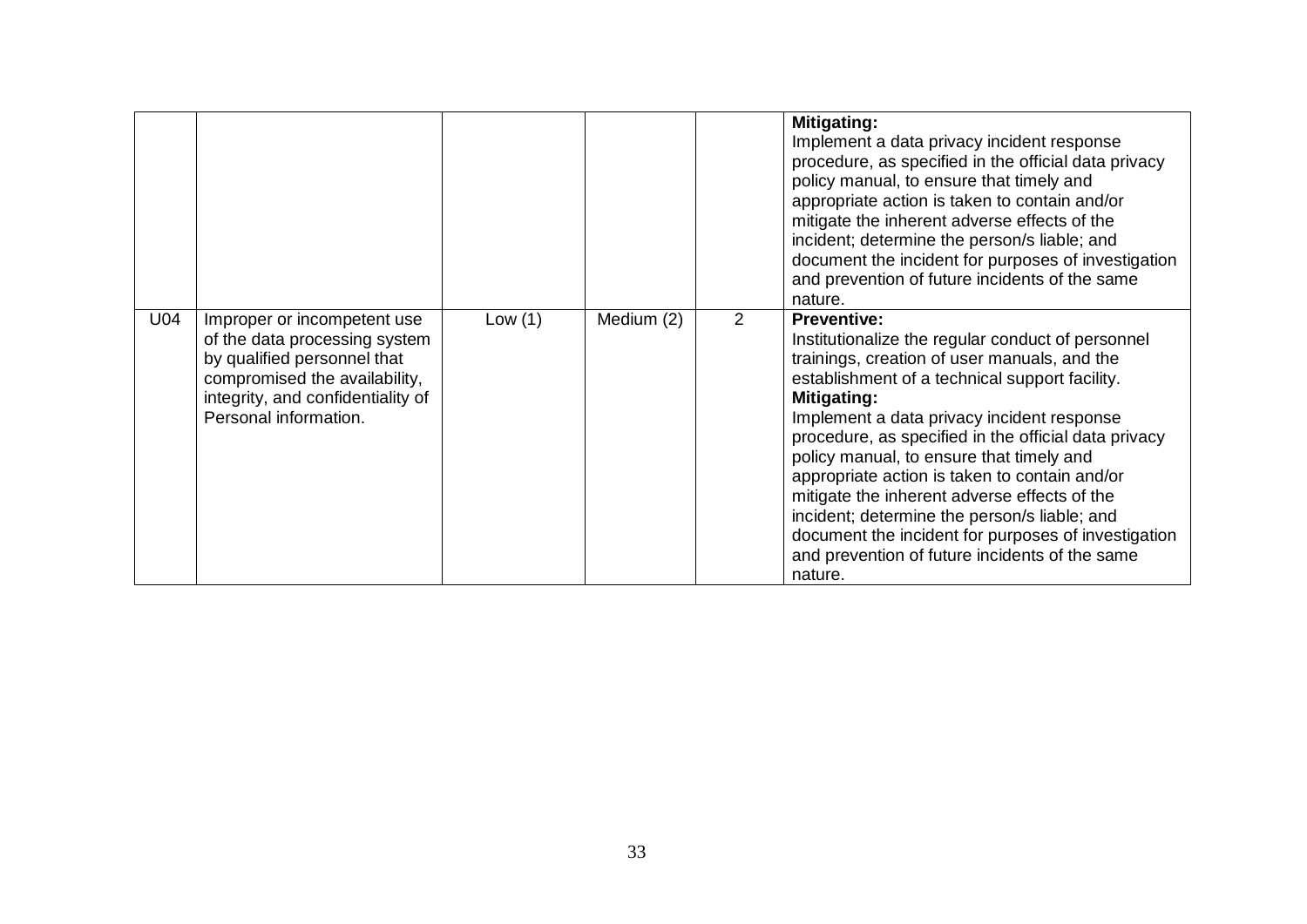|                 |                                                                                                                                                                                            |        |            |   | Mitigating:<br>Implement a data privacy incident response<br>procedure, as specified in the official data privacy<br>policy manual, to ensure that timely and<br>appropriate action is taken to contain and/or<br>mitigate the inherent adverse effects of the<br>incident; determine the person/s liable; and<br>document the incident for purposes of investigation<br>and prevention of future incidents of the same<br>nature.                                                                                                                                                                              |
|-----------------|--------------------------------------------------------------------------------------------------------------------------------------------------------------------------------------------|--------|------------|---|-----------------------------------------------------------------------------------------------------------------------------------------------------------------------------------------------------------------------------------------------------------------------------------------------------------------------------------------------------------------------------------------------------------------------------------------------------------------------------------------------------------------------------------------------------------------------------------------------------------------|
| U <sub>04</sub> | Improper or incompetent use<br>of the data processing system<br>by qualified personnel that<br>compromised the availability,<br>integrity, and confidentiality of<br>Personal information. | Low(1) | Medium (2) | 2 | <b>Preventive:</b><br>Institutionalize the regular conduct of personnel<br>trainings, creation of user manuals, and the<br>establishment of a technical support facility.<br>Mitigating:<br>Implement a data privacy incident response<br>procedure, as specified in the official data privacy<br>policy manual, to ensure that timely and<br>appropriate action is taken to contain and/or<br>mitigate the inherent adverse effects of the<br>incident; determine the person/s liable; and<br>document the incident for purposes of investigation<br>and prevention of future incidents of the same<br>nature. |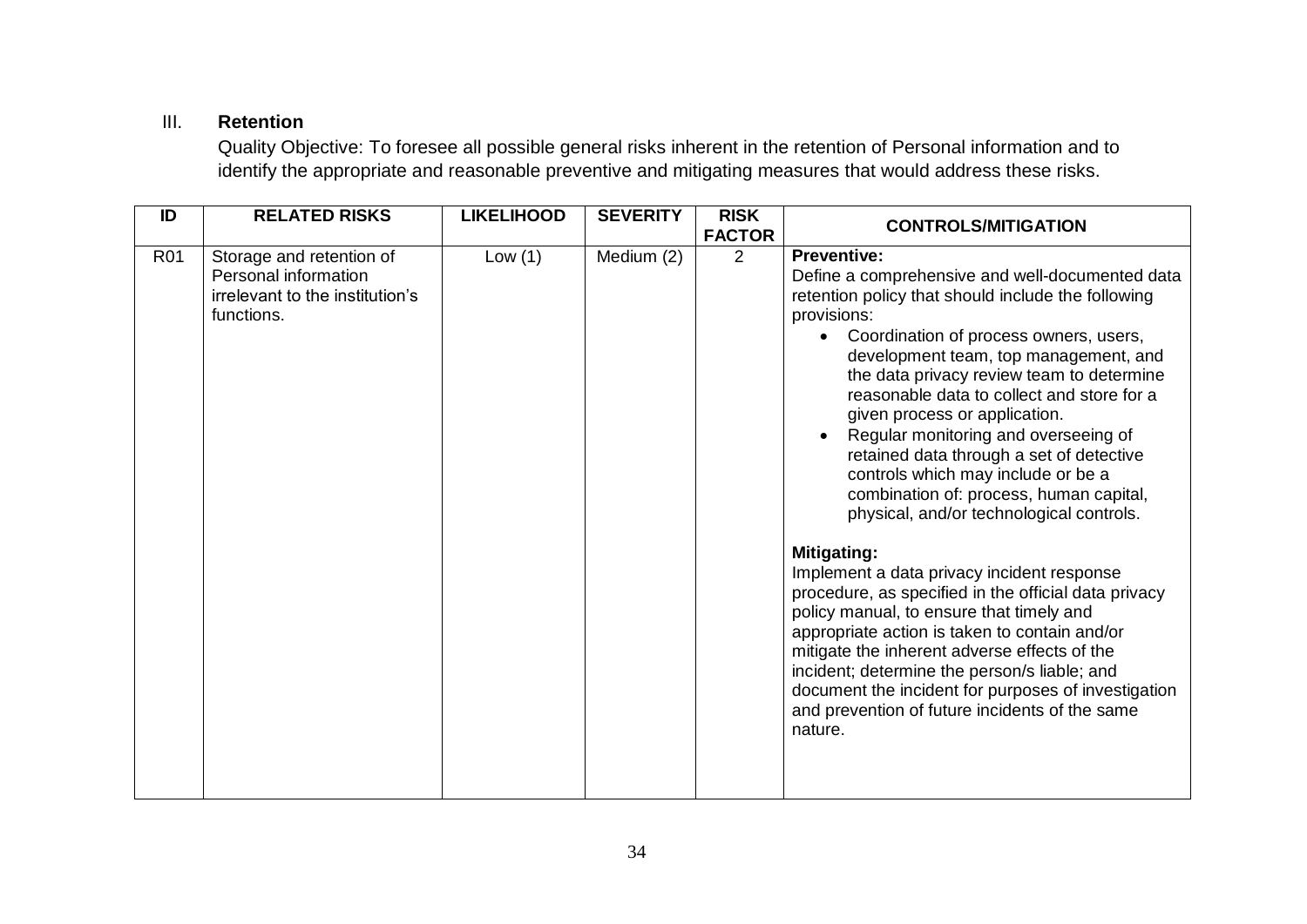# III. **Retention**

Quality Objective: To foresee all possible general risks inherent in the retention of Personal information and to identify the appropriate and reasonable preventive and mitigating measures that would address these risks.

| ID         | <b>RELATED RISKS</b>                                                                              | <b>LIKELIHOOD</b> | <b>SEVERITY</b> | <b>RISK</b><br><b>FACTOR</b> | <b>CONTROLS/MITIGATION</b>                                                                                                                                                                                                                                                                                                                                                                                                                                                                                                                                                 |
|------------|---------------------------------------------------------------------------------------------------|-------------------|-----------------|------------------------------|----------------------------------------------------------------------------------------------------------------------------------------------------------------------------------------------------------------------------------------------------------------------------------------------------------------------------------------------------------------------------------------------------------------------------------------------------------------------------------------------------------------------------------------------------------------------------|
| <b>R01</b> | Storage and retention of<br>Personal information<br>irrelevant to the institution's<br>functions. | Low $(1)$         | Medium (2)      | 2                            | <b>Preventive:</b><br>Define a comprehensive and well-documented data<br>retention policy that should include the following<br>provisions:<br>Coordination of process owners, users,<br>development team, top management, and<br>the data privacy review team to determine<br>reasonable data to collect and store for a<br>given process or application.<br>Regular monitoring and overseeing of<br>retained data through a set of detective<br>controls which may include or be a<br>combination of: process, human capital,<br>physical, and/or technological controls. |
|            |                                                                                                   |                   |                 |                              | <b>Mitigating:</b><br>Implement a data privacy incident response<br>procedure, as specified in the official data privacy<br>policy manual, to ensure that timely and<br>appropriate action is taken to contain and/or<br>mitigate the inherent adverse effects of the<br>incident; determine the person/s liable; and<br>document the incident for purposes of investigation<br>and prevention of future incidents of the same<br>nature.                                                                                                                                  |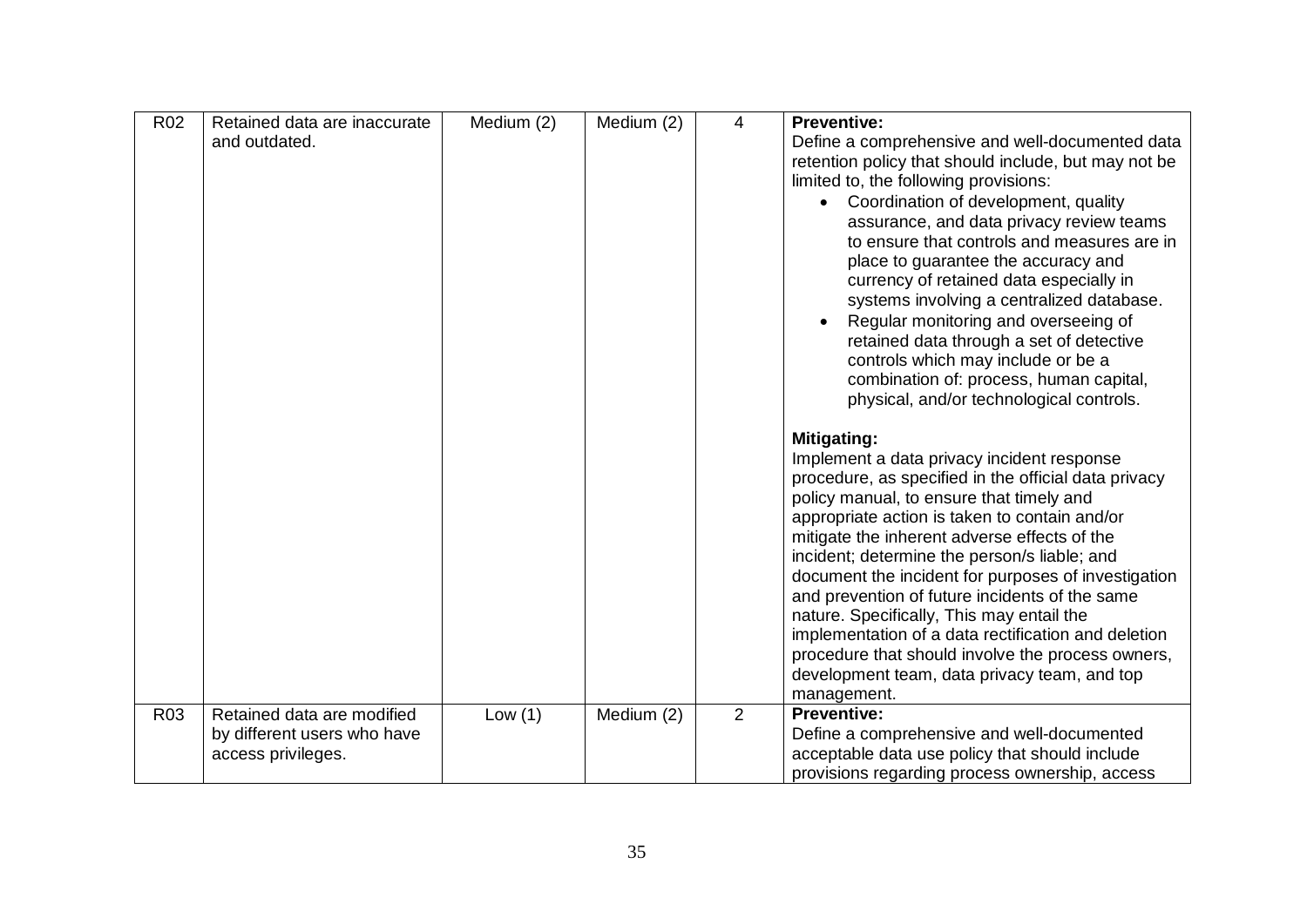| R <sub>02</sub> | Retained data are inaccurate | Medium (2) | Medium (2) | 4 | <b>Preventive:</b>                                                                                    |
|-----------------|------------------------------|------------|------------|---|-------------------------------------------------------------------------------------------------------|
|                 | and outdated.                |            |            |   | Define a comprehensive and well-documented data                                                       |
|                 |                              |            |            |   | retention policy that should include, but may not be                                                  |
|                 |                              |            |            |   | limited to, the following provisions:                                                                 |
|                 |                              |            |            |   | Coordination of development, quality                                                                  |
|                 |                              |            |            |   | assurance, and data privacy review teams                                                              |
|                 |                              |            |            |   | to ensure that controls and measures are in                                                           |
|                 |                              |            |            |   | place to guarantee the accuracy and                                                                   |
|                 |                              |            |            |   | currency of retained data especially in                                                               |
|                 |                              |            |            |   | systems involving a centralized database.                                                             |
|                 |                              |            |            |   | Regular monitoring and overseeing of                                                                  |
|                 |                              |            |            |   | retained data through a set of detective<br>controls which may include or be a                        |
|                 |                              |            |            |   | combination of: process, human capital,                                                               |
|                 |                              |            |            |   | physical, and/or technological controls.                                                              |
|                 |                              |            |            |   |                                                                                                       |
|                 |                              |            |            |   | Mitigating:                                                                                           |
|                 |                              |            |            |   | Implement a data privacy incident response                                                            |
|                 |                              |            |            |   | procedure, as specified in the official data privacy                                                  |
|                 |                              |            |            |   | policy manual, to ensure that timely and                                                              |
|                 |                              |            |            |   | appropriate action is taken to contain and/or                                                         |
|                 |                              |            |            |   | mitigate the inherent adverse effects of the                                                          |
|                 |                              |            |            |   | incident; determine the person/s liable; and                                                          |
|                 |                              |            |            |   | document the incident for purposes of investigation<br>and prevention of future incidents of the same |
|                 |                              |            |            |   | nature. Specifically, This may entail the                                                             |
|                 |                              |            |            |   | implementation of a data rectification and deletion                                                   |
|                 |                              |            |            |   | procedure that should involve the process owners,                                                     |
|                 |                              |            |            |   | development team, data privacy team, and top                                                          |
|                 |                              |            |            |   | management.                                                                                           |
| R <sub>03</sub> | Retained data are modified   | Low $(1)$  | Medium (2) | 2 | <b>Preventive:</b>                                                                                    |
|                 | by different users who have  |            |            |   | Define a comprehensive and well-documented                                                            |
|                 | access privileges.           |            |            |   | acceptable data use policy that should include                                                        |
|                 |                              |            |            |   | provisions regarding process ownership, access                                                        |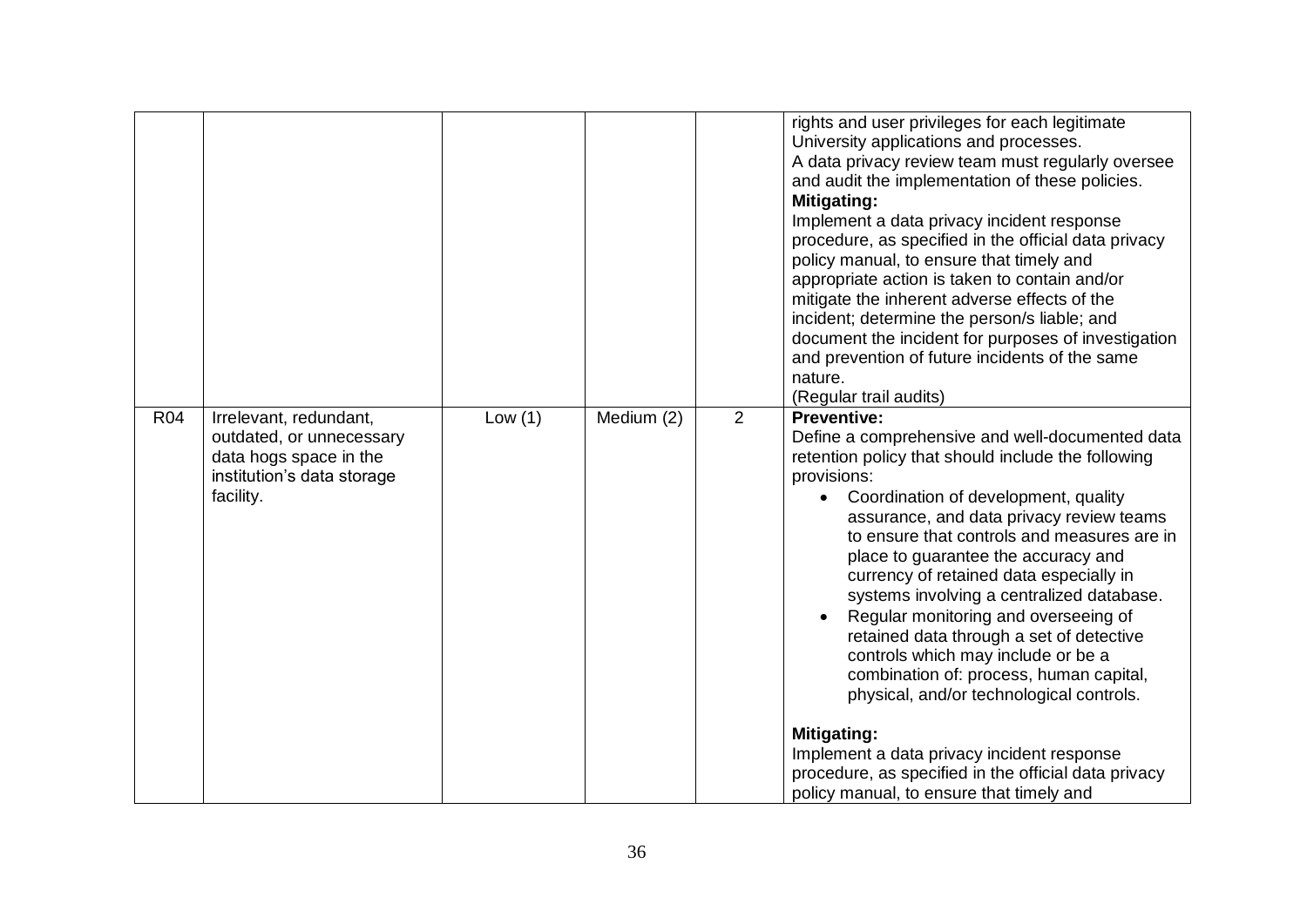|            |                                                                                                                         |           |                 |   | rights and user privileges for each legitimate<br>University applications and processes.<br>A data privacy review team must regularly oversee<br>and audit the implementation of these policies.<br><b>Mitigating:</b><br>Implement a data privacy incident response<br>procedure, as specified in the official data privacy<br>policy manual, to ensure that timely and<br>appropriate action is taken to contain and/or<br>mitigate the inherent adverse effects of the<br>incident; determine the person/s liable; and<br>document the incident for purposes of investigation<br>and prevention of future incidents of the same<br>nature.<br>(Regular trail audits)                                                                                                                                            |
|------------|-------------------------------------------------------------------------------------------------------------------------|-----------|-----------------|---|--------------------------------------------------------------------------------------------------------------------------------------------------------------------------------------------------------------------------------------------------------------------------------------------------------------------------------------------------------------------------------------------------------------------------------------------------------------------------------------------------------------------------------------------------------------------------------------------------------------------------------------------------------------------------------------------------------------------------------------------------------------------------------------------------------------------|
| <b>R04</b> | Irrelevant, redundant,<br>outdated, or unnecessary<br>data hogs space in the<br>institution's data storage<br>facility. | Low $(1)$ | $M$ edium $(2)$ | 2 | <b>Preventive:</b><br>Define a comprehensive and well-documented data<br>retention policy that should include the following<br>provisions:<br>Coordination of development, quality<br>$\bullet$<br>assurance, and data privacy review teams<br>to ensure that controls and measures are in<br>place to guarantee the accuracy and<br>currency of retained data especially in<br>systems involving a centralized database.<br>Regular monitoring and overseeing of<br>retained data through a set of detective<br>controls which may include or be a<br>combination of: process, human capital,<br>physical, and/or technological controls.<br><b>Mitigating:</b><br>Implement a data privacy incident response<br>procedure, as specified in the official data privacy<br>policy manual, to ensure that timely and |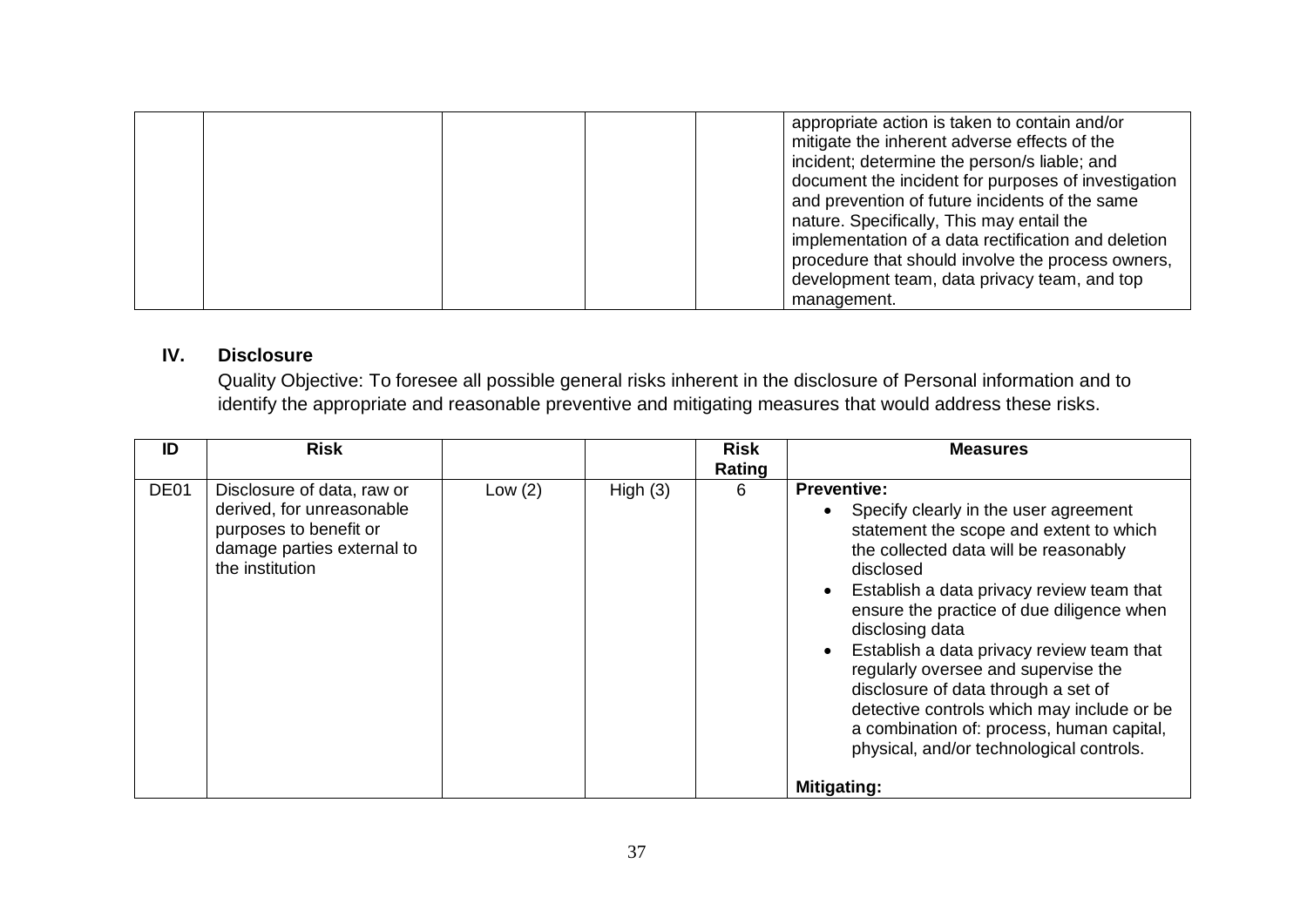|  | appropriate action is taken to contain and/or<br>mitigate the inherent adverse effects of the<br>incident; determine the person/s liable; and<br>document the incident for purposes of investigation<br>and prevention of future incidents of the same<br>nature. Specifically, This may entail the<br>implementation of a data rectification and deletion<br>procedure that should involve the process owners, |
|--|-----------------------------------------------------------------------------------------------------------------------------------------------------------------------------------------------------------------------------------------------------------------------------------------------------------------------------------------------------------------------------------------------------------------|
|  | development team, data privacy team, and top<br>management.                                                                                                                                                                                                                                                                                                                                                     |

# **IV. Disclosure**

Quality Objective: To foresee all possible general risks inherent in the disclosure of Personal information and to identify the appropriate and reasonable preventive and mitigating measures that would address these risks.

| ID               | <b>Risk</b>                                                                                                                        |           |            | <b>Risk</b><br>Rating | <b>Measures</b>                                                                                                                                                                                                                                                                                                                                                                                                                                                                                                                             |
|------------------|------------------------------------------------------------------------------------------------------------------------------------|-----------|------------|-----------------------|---------------------------------------------------------------------------------------------------------------------------------------------------------------------------------------------------------------------------------------------------------------------------------------------------------------------------------------------------------------------------------------------------------------------------------------------------------------------------------------------------------------------------------------------|
| DE <sub>01</sub> | Disclosure of data, raw or<br>derived, for unreasonable<br>purposes to benefit or<br>damage parties external to<br>the institution | Low $(2)$ | High $(3)$ | 6                     | <b>Preventive:</b><br>Specify clearly in the user agreement<br>statement the scope and extent to which<br>the collected data will be reasonably<br>disclosed<br>Establish a data privacy review team that<br>ensure the practice of due diligence when<br>disclosing data<br>Establish a data privacy review team that<br>regularly oversee and supervise the<br>disclosure of data through a set of<br>detective controls which may include or be<br>a combination of: process, human capital,<br>physical, and/or technological controls. |
|                  |                                                                                                                                    |           |            |                       | <b>Mitigating:</b>                                                                                                                                                                                                                                                                                                                                                                                                                                                                                                                          |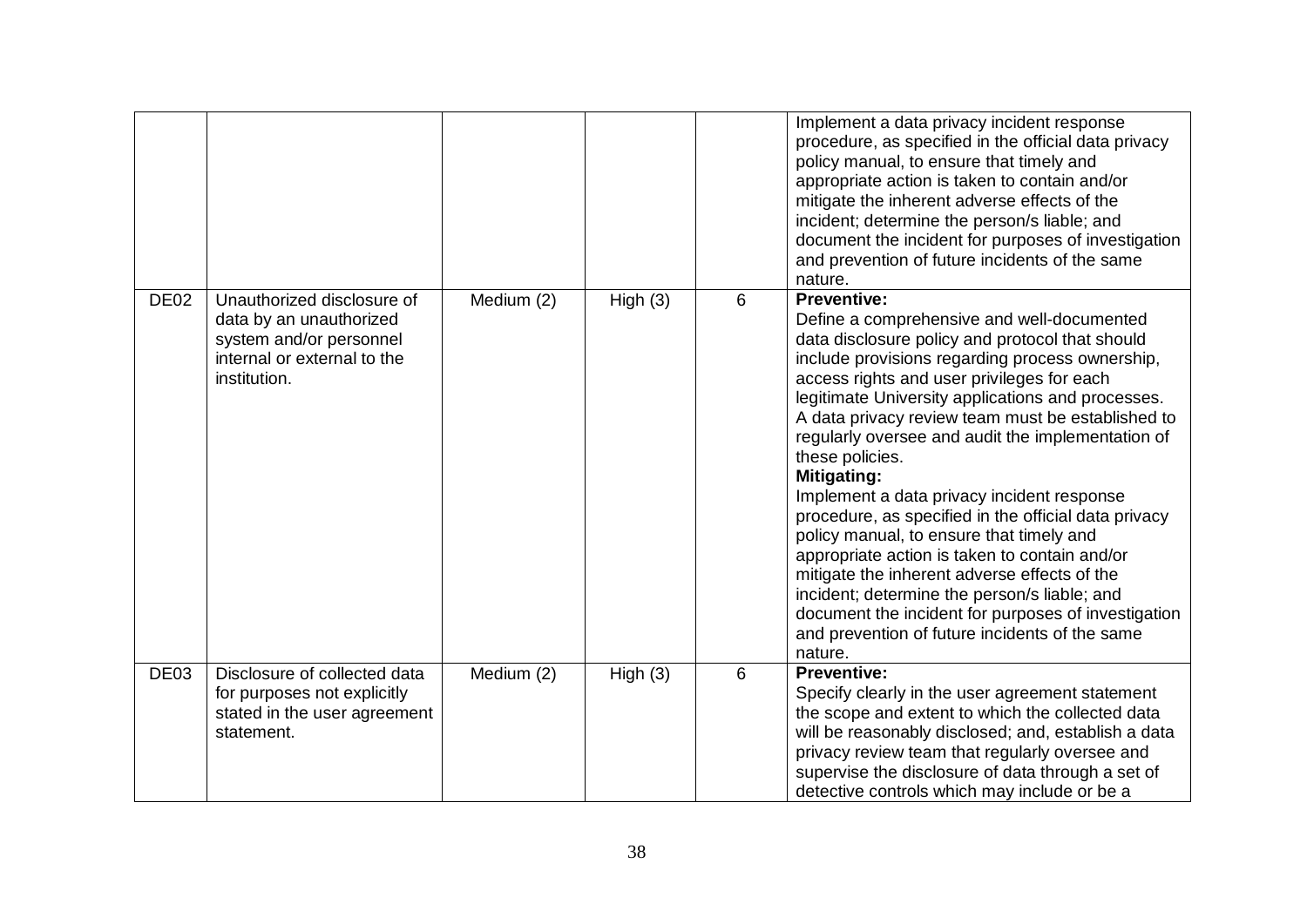|             |                                                                                                                                 |            |         |   | Implement a data privacy incident response<br>procedure, as specified in the official data privacy<br>policy manual, to ensure that timely and<br>appropriate action is taken to contain and/or<br>mitigate the inherent adverse effects of the<br>incident; determine the person/s liable; and<br>document the incident for purposes of investigation<br>and prevention of future incidents of the same<br>nature.                                                                                                                                                                                                                                                                                                                                                                                                                                 |
|-------------|---------------------------------------------------------------------------------------------------------------------------------|------------|---------|---|-----------------------------------------------------------------------------------------------------------------------------------------------------------------------------------------------------------------------------------------------------------------------------------------------------------------------------------------------------------------------------------------------------------------------------------------------------------------------------------------------------------------------------------------------------------------------------------------------------------------------------------------------------------------------------------------------------------------------------------------------------------------------------------------------------------------------------------------------------|
| <b>DE02</b> | Unauthorized disclosure of<br>data by an unauthorized<br>system and/or personnel<br>internal or external to the<br>institution. | Medium (2) | High(3) | 6 | <b>Preventive:</b><br>Define a comprehensive and well-documented<br>data disclosure policy and protocol that should<br>include provisions regarding process ownership,<br>access rights and user privileges for each<br>legitimate University applications and processes.<br>A data privacy review team must be established to<br>regularly oversee and audit the implementation of<br>these policies.<br><b>Mitigating:</b><br>Implement a data privacy incident response<br>procedure, as specified in the official data privacy<br>policy manual, to ensure that timely and<br>appropriate action is taken to contain and/or<br>mitigate the inherent adverse effects of the<br>incident; determine the person/s liable; and<br>document the incident for purposes of investigation<br>and prevention of future incidents of the same<br>nature. |
| DE03        | Disclosure of collected data<br>for purposes not explicitly<br>stated in the user agreement<br>statement.                       | Medium (2) | High(3) | 6 | <b>Preventive:</b><br>Specify clearly in the user agreement statement<br>the scope and extent to which the collected data<br>will be reasonably disclosed; and, establish a data<br>privacy review team that regularly oversee and<br>supervise the disclosure of data through a set of<br>detective controls which may include or be a                                                                                                                                                                                                                                                                                                                                                                                                                                                                                                             |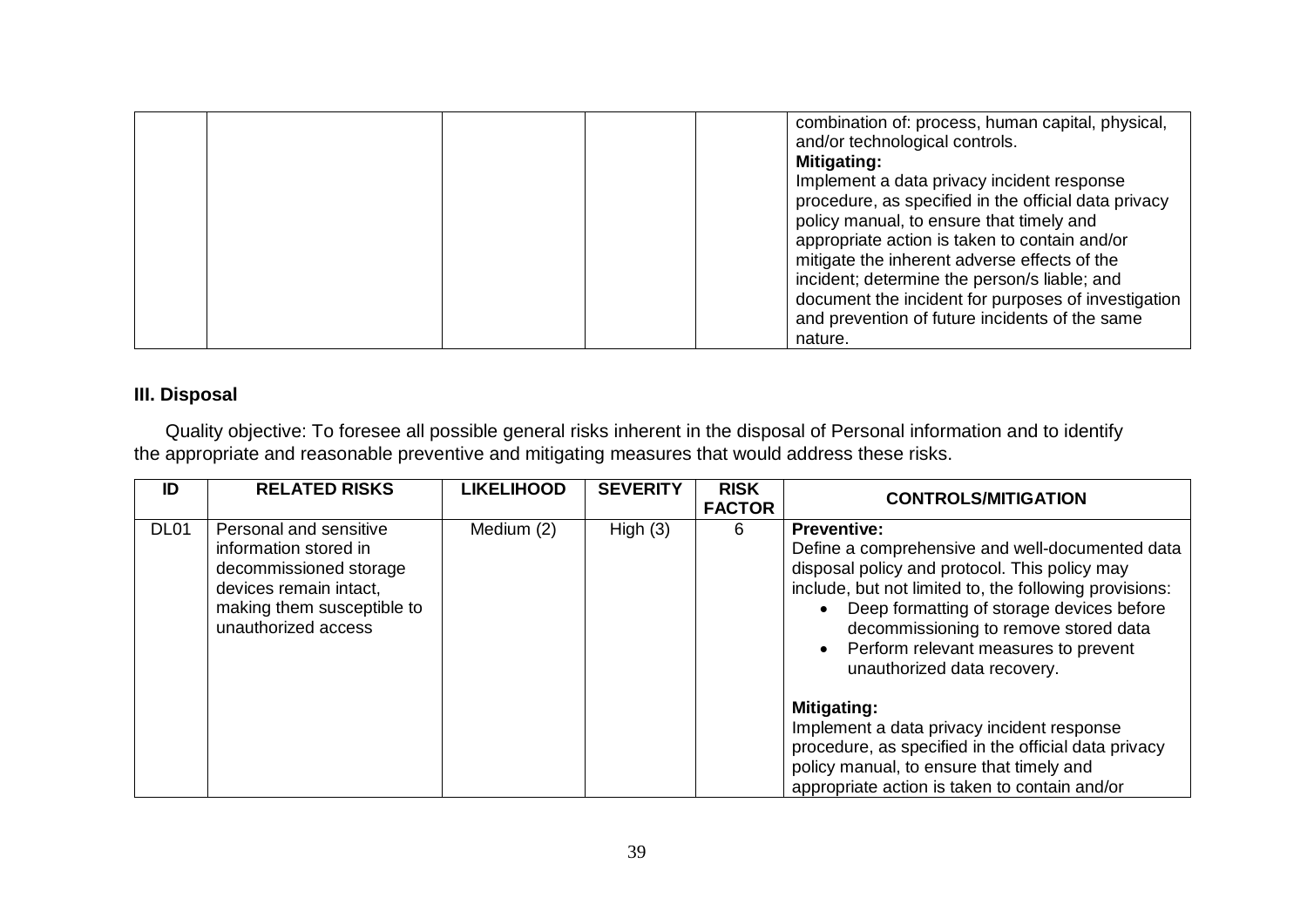|  | combination of: process, human capital, physical,<br>and/or technological controls.<br><b>Mitigating:</b><br>Implement a data privacy incident response<br>procedure, as specified in the official data privacy<br>policy manual, to ensure that timely and<br>appropriate action is taken to contain and/or<br>mitigate the inherent adverse effects of the<br>incident; determine the person/s liable; and<br>document the incident for purposes of investigation<br>and prevention of future incidents of the same<br>nature. |
|--|----------------------------------------------------------------------------------------------------------------------------------------------------------------------------------------------------------------------------------------------------------------------------------------------------------------------------------------------------------------------------------------------------------------------------------------------------------------------------------------------------------------------------------|
|--|----------------------------------------------------------------------------------------------------------------------------------------------------------------------------------------------------------------------------------------------------------------------------------------------------------------------------------------------------------------------------------------------------------------------------------------------------------------------------------------------------------------------------------|

# **III. Disposal**

 Quality objective: To foresee all possible general risks inherent in the disposal of Personal information and to identify the appropriate and reasonable preventive and mitigating measures that would address these risks.

| ID               | <b>RELATED RISKS</b>                                                                                                                                     | <b>LIKELIHOOD</b> | <b>SEVERITY</b> | <b>RISK</b><br><b>FACTOR</b> | <b>CONTROLS/MITIGATION</b>                                                                                                                                                                                                                                                                                                                      |  |
|------------------|----------------------------------------------------------------------------------------------------------------------------------------------------------|-------------------|-----------------|------------------------------|-------------------------------------------------------------------------------------------------------------------------------------------------------------------------------------------------------------------------------------------------------------------------------------------------------------------------------------------------|--|
| DL <sub>01</sub> | Personal and sensitive<br>information stored in<br>decommissioned storage<br>devices remain intact,<br>making them susceptible to<br>unauthorized access | Medium (2)        | High $(3)$      | 6                            | <b>Preventive:</b><br>Define a comprehensive and well-documented data<br>disposal policy and protocol. This policy may<br>include, but not limited to, the following provisions:<br>Deep formatting of storage devices before<br>decommissioning to remove stored data<br>• Perform relevant measures to prevent<br>unauthorized data recovery. |  |
|                  |                                                                                                                                                          |                   |                 |                              | <b>Mitigating:</b><br>Implement a data privacy incident response<br>procedure, as specified in the official data privacy<br>policy manual, to ensure that timely and<br>appropriate action is taken to contain and/or                                                                                                                           |  |